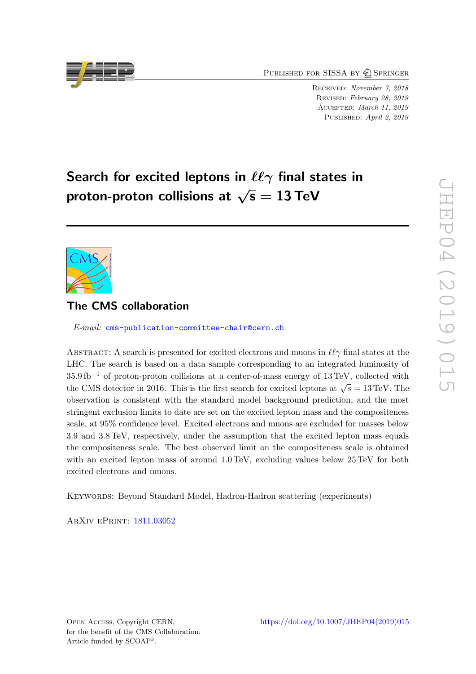PUBLISHED FOR SISSA BY 2 SPRINGER

Received: November 7, 2018 Revised: February 28, 2019 Accepted: March 11, 2019 PUBLISHED: April 2, 2019

# Search for excited leptons in  $\ell\ell\gamma$  final states in  $\frac{1}{2}$  proton-proton collisions at  $\sqrt{s} = 13$  TeV

# The CMS collaboration

E-mail: [cms-publication-committee-chair@cern.ch](mailto:cms-publication-committee-chair@cern.ch)

ABSTRACT: A search is presented for excited electrons and muons in  $\ell\ell\gamma$  final states at the LHC. The search is based on a data sample corresponding to an integrated luminosity of  $35.9\,\text{fb}^{-1}$  of proton-proton collisions at a center-of-mass energy of 13 TeV, collected with the CMS detector in 2016. This is the first search for excited leptons at  $\sqrt{s} = 13 \,\text{TeV}$ . The observation is consistent with the standard model background prediction, and the most stringent exclusion limits to date are set on the excited lepton mass and the compositeness scale, at 95% confidence level. Excited electrons and muons are excluded for masses below 3.9 and 3.8 TeV, respectively, under the assumption that the excited lepton mass equals the compositeness scale. The best observed limit on the compositeness scale is obtained with an excited lepton mass of around 1.0 TeV, excluding values below 25 TeV for both excited electrons and muons.

Keywords: Beyond Standard Model, Hadron-Hadron scattering (experiments)

ArXiv ePrint: [1811.03052](https://arxiv.org/abs/1811.03052)

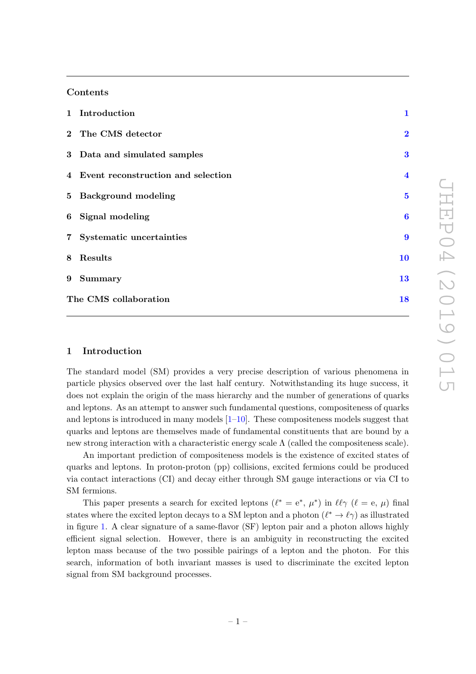# Contents

| 1 Introduction                       | $\mathbf{1}$            |
|--------------------------------------|-------------------------|
| 2 The CMS detector                   | $\overline{\mathbf{2}}$ |
| 3 Data and simulated samples         | 3                       |
| 4 Event reconstruction and selection | $\overline{\mathbf{4}}$ |
| 5 Background modeling                | $\overline{5}$          |
| 6 Signal modeling                    | $\boldsymbol{6}$        |
| 7 Systematic uncertainties           | 9                       |
| 8 Results                            | 10                      |
| 9 Summary                            | 13                      |
| The CMS collaboration                | 18                      |

#### <span id="page-1-0"></span>1 Introduction

The standard model (SM) provides a very precise description of various phenomena in particle physics observed over the last half century. Notwithstanding its huge success, it does not explain the origin of the mass hierarchy and the number of generations of quarks and leptons. As an attempt to answer such fundamental questions, compositeness of quarks and leptons is introduced in many models  $[1-10]$  $[1-10]$ . These compositeness models suggest that quarks and leptons are themselves made of fundamental constituents that are bound by a new strong interaction with a characteristic energy scale  $\Lambda$  (called the compositeness scale).

An important prediction of compositeness models is the existence of excited states of quarks and leptons. In proton-proton (pp) collisions, excited fermions could be produced via contact interactions (CI) and decay either through SM gauge interactions or via CI to SM fermions.

This paper presents a search for excited leptons  $(\ell^* = e^*, \mu^*)$  in  $\ell \ell \gamma$  ( $\ell = e, \mu$ ) final states where the excited lepton decays to a SM lepton and a photon  $(\ell^* \to \ell \gamma)$  as illustrated in figure [1.](#page-2-1) A clear signature of a same-flavor (SF) lepton pair and a photon allows highly efficient signal selection. However, there is an ambiguity in reconstructing the excited lepton mass because of the two possible pairings of a lepton and the photon. For this search, information of both invariant masses is used to discriminate the excited lepton signal from SM background processes.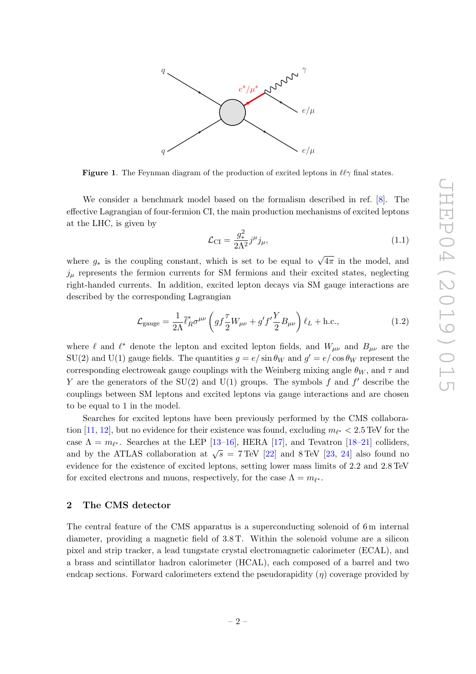<span id="page-2-1"></span>

**Figure 1.** The Feynman diagram of the production of excited leptons in  $\ell/\gamma$  final states.

We consider a benchmark model based on the formalism described in ref. [\[8\]](#page-15-2). The effective Lagrangian of four-fermion CI, the main production mechanisms of excited leptons at the LHC, is given by

$$
\mathcal{L}_{\text{CI}} = \frac{g_*^2}{2\Lambda^2} j^{\mu} j_{\mu},\tag{1.1}
$$

where  $g_*$  is the coupling constant, which is set to be equal to  $\sqrt{4\pi}$  in the model, and  $j_{\mu}$  represents the fermion currents for SM fermions and their excited states, neglecting right-handed currents. In addition, excited lepton decays via SM gauge interactions are described by the corresponding Lagrangian

$$
\mathcal{L}_{\text{gauge}} = \frac{1}{2\Lambda} \bar{\ell}_R^* \sigma^{\mu\nu} \left( g f \frac{\tau}{2} W_{\mu\nu} + g' f' \frac{Y}{2} B_{\mu\nu} \right) \ell_L + \text{h.c.},\tag{1.2}
$$

where  $\ell$  and  $\ell^*$  denote the lepton and excited lepton fields, and  $W_{\mu\nu}$  and  $B_{\mu\nu}$  are the  $SU(2)$  and  $U(1)$  gauge fields. The quantities  $g = e/\sin \theta_W$  and  $g' = e/\cos \theta_W$  represent the corresponding electroweak gauge couplings with the Weinberg mixing angle  $\theta_W$ , and  $\tau$  and Y are the generators of the SU(2) and U(1) groups. The symbols f and  $f'$  describe the couplings between SM leptons and excited leptons via gauge interactions and are chosen to be equal to 1 in the model.

Searches for excited leptons have been previously performed by the CMS collabora-tion [\[11,](#page-15-3) [12\]](#page-16-0), but no evidence for their existence was found, excluding  $m_{\ell^*} < 2.5$  TeV for the case  $\Lambda = m_{\ell^*}$ . Searches at the LEP [\[13–](#page-16-1)[16\]](#page-16-2), HERA [\[17\]](#page-16-3), and Tevatron [\[18](#page-16-4)[–21\]](#page-16-5) colliders, and by the ATLAS collaboration at  $\sqrt{s}$  = 7 TeV [\[22\]](#page-16-6) and 8 TeV [\[23,](#page-16-7) [24\]](#page-16-8) also found no evidence for the existence of excited leptons, setting lower mass limits of 2.2 and 2.8 TeV for excited electrons and muons, respectively, for the case  $\Lambda = m_{\ell^*}$ .

#### <span id="page-2-0"></span>2 The CMS detector

The central feature of the CMS apparatus is a superconducting solenoid of 6 m internal diameter, providing a magnetic field of 3.8 T. Within the solenoid volume are a silicon pixel and strip tracker, a lead tungstate crystal electromagnetic calorimeter (ECAL), and a brass and scintillator hadron calorimeter (HCAL), each composed of a barrel and two endcap sections. Forward calorimeters extend the pseudorapidity  $(\eta)$  coverage provided by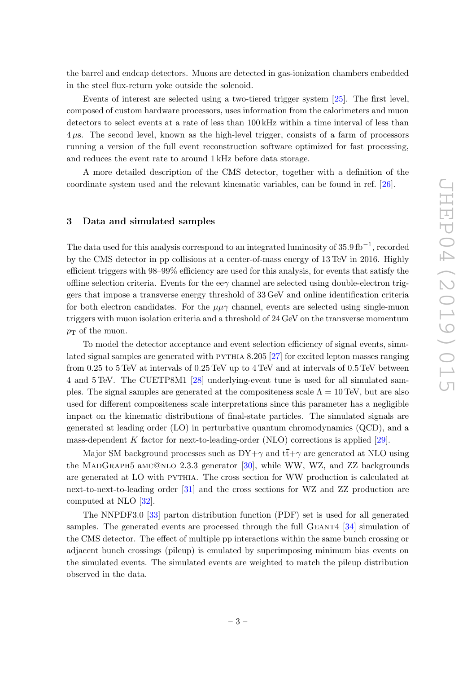the barrel and endcap detectors. Muons are detected in gas-ionization chambers embedded in the steel flux-return yoke outside the solenoid.

Events of interest are selected using a two-tiered trigger system [\[25\]](#page-16-9). The first level, composed of custom hardware processors, uses information from the calorimeters and muon detectors to select events at a rate of less than 100 kHz within a time interval of less than 4 µs. The second level, known as the high-level trigger, consists of a farm of processors running a version of the full event reconstruction software optimized for fast processing, and reduces the event rate to around 1 kHz before data storage.

A more detailed description of the CMS detector, together with a definition of the coordinate system used and the relevant kinematic variables, can be found in ref. [\[26\]](#page-16-10).

#### <span id="page-3-0"></span>3 Data and simulated samples

The data used for this analysis correspond to an integrated luminosity of  $35.9\,\mathrm{fb}^{-1}$ , recorded by the CMS detector in pp collisions at a center-of-mass energy of 13 TeV in 2016. Highly efficient triggers with 98–99% efficiency are used for this analysis, for events that satisfy the offline selection criteria. Events for the eeγ channel are selected using double-electron triggers that impose a transverse energy threshold of 33 GeV and online identification criteria for both electron candidates. For the  $\mu\mu\gamma$  channel, events are selected using single-muon triggers with muon isolation criteria and a threshold of 24 GeV on the transverse momentum  $p_T$  of the muon.

To model the detector acceptance and event selection efficiency of signal events, simulated signal samples are generated with pythia 8.205 [\[27\]](#page-16-11) for excited lepton masses ranging from 0.25 to 5 TeV at intervals of 0.25 TeV up to 4 TeV and at intervals of 0.5 TeV between 4 and 5 TeV. The CUETP8M1 [\[28\]](#page-16-12) underlying-event tune is used for all simulated samples. The signal samples are generated at the compositeness scale  $\Lambda = 10$  TeV, but are also used for different compositeness scale interpretations since this parameter has a negligible impact on the kinematic distributions of final-state particles. The simulated signals are generated at leading order (LO) in perturbative quantum chromodynamics (QCD), and a mass-dependent K factor for next-to-leading-order (NLO) corrections is applied [\[29\]](#page-16-13).

Major SM background processes such as  $DY+\gamma$  and  $t\bar{t}+\gamma$  are generated at NLO using the MadGraph5 amc@nlo 2.3.3 generator [\[30\]](#page-16-14), while WW, WZ, and ZZ backgrounds are generated at LO with pythia. The cross section for WW production is calculated at next-to-next-to-leading order [\[31\]](#page-17-0) and the cross sections for WZ and ZZ production are computed at NLO [\[32\]](#page-17-1).

The NNPDF3.0 [\[33\]](#page-17-2) parton distribution function (PDF) set is used for all generated samples. The generated events are processed through the full GEANT4 [\[34\]](#page-17-3) simulation of the CMS detector. The effect of multiple pp interactions within the same bunch crossing or adjacent bunch crossings (pileup) is emulated by superimposing minimum bias events on the simulated events. The simulated events are weighted to match the pileup distribution observed in the data.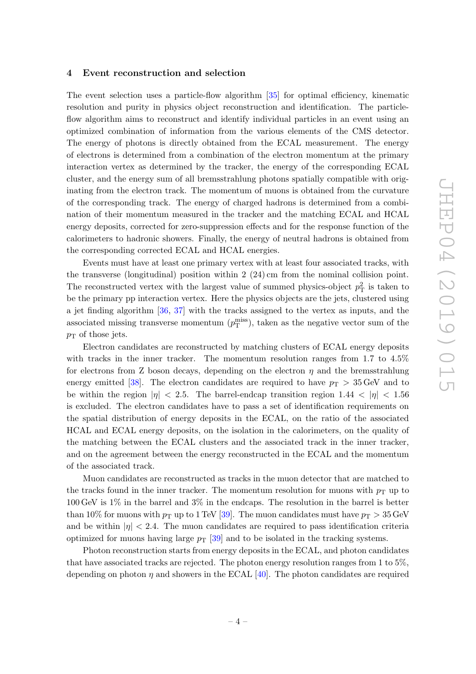#### <span id="page-4-0"></span>4 Event reconstruction and selection

The event selection uses a particle-flow algorithm [\[35\]](#page-17-4) for optimal efficiency, kinematic resolution and purity in physics object reconstruction and identification. The particleflow algorithm aims to reconstruct and identify individual particles in an event using an optimized combination of information from the various elements of the CMS detector. The energy of photons is directly obtained from the ECAL measurement. The energy of electrons is determined from a combination of the electron momentum at the primary interaction vertex as determined by the tracker, the energy of the corresponding ECAL cluster, and the energy sum of all bremsstrahlung photons spatially compatible with originating from the electron track. The momentum of muons is obtained from the curvature of the corresponding track. The energy of charged hadrons is determined from a combination of their momentum measured in the tracker and the matching ECAL and HCAL energy deposits, corrected for zero-suppression effects and for the response function of the calorimeters to hadronic showers. Finally, the energy of neutral hadrons is obtained from the corresponding corrected ECAL and HCAL energies.

Events must have at least one primary vertex with at least four associated tracks, with the transverse (longitudinal) position within 2 (24) cm from the nominal collision point. The reconstructed vertex with the largest value of summed physics-object  $p_T^2$  is taken to be the primary pp interaction vertex. Here the physics objects are the jets, clustered using a jet finding algorithm [\[36,](#page-17-5) [37\]](#page-17-6) with the tracks assigned to the vertex as inputs, and the associated missing transverse momentum  $(p_T^{\text{miss}})$ , taken as the negative vector sum of the  $p_T$  of those jets.

Electron candidates are reconstructed by matching clusters of ECAL energy deposits with tracks in the inner tracker. The momentum resolution ranges from 1.7 to 4.5% for electrons from Z boson decays, depending on the electron  $\eta$  and the bremsstrahlung energy emitted [\[38\]](#page-17-7). The electron candidates are required to have  $p_T > 35 \,\text{GeV}$  and to be within the region  $|\eta| < 2.5$ . The barrel-endcap transition region 1.44  $< |\eta| < 1.56$ is excluded. The electron candidates have to pass a set of identification requirements on the spatial distribution of energy deposits in the ECAL, on the ratio of the associated HCAL and ECAL energy deposits, on the isolation in the calorimeters, on the quality of the matching between the ECAL clusters and the associated track in the inner tracker, and on the agreement between the energy reconstructed in the ECAL and the momentum of the associated track.

Muon candidates are reconstructed as tracks in the muon detector that are matched to the tracks found in the inner tracker. The momentum resolution for muons with  $p<sub>T</sub>$  up to 100 GeV is 1% in the barrel and 3% in the endcaps. The resolution in the barrel is better than 10% for muons with  $p_T$  up to 1 TeV [\[39\]](#page-17-8). The muon candidates must have  $p_T > 35$  GeV and be within  $|\eta| < 2.4$ . The muon candidates are required to pass identification criteria optimized for muons having large  $p_T$  [\[39\]](#page-17-8) and to be isolated in the tracking systems.

Photon reconstruction starts from energy deposits in the ECAL, and photon candidates that have associated tracks are rejected. The photon energy resolution ranges from 1 to 5%, depending on photon  $\eta$  and showers in the ECAL [\[40\]](#page-17-9). The photon candidates are required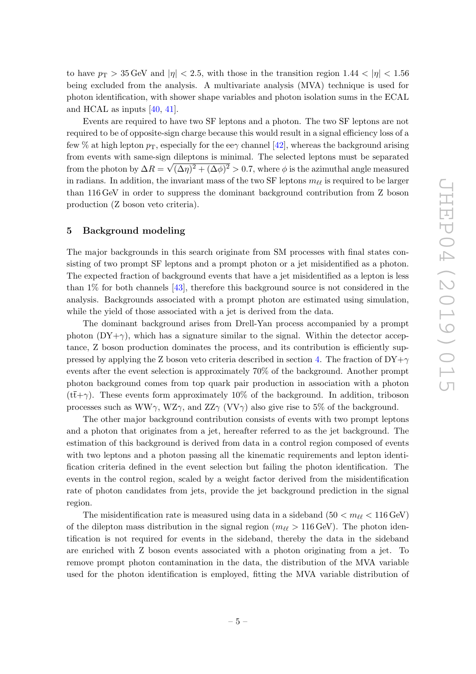to have  $p_T > 35$  GeV and  $|\eta| < 2.5$ , with those in the transition region 1.44  $< |\eta| < 1.56$ being excluded from the analysis. A multivariate analysis (MVA) technique is used for photon identification, with shower shape variables and photon isolation sums in the ECAL and HCAL as inputs [\[40,](#page-17-9) [41\]](#page-17-10).

Events are required to have two SF leptons and a photon. The two SF leptons are not required to be of opposite-sign charge because this would result in a signal efficiency loss of a few % at high lepton  $p_T$ , especially for the eey channel [\[42\]](#page-17-11), whereas the background arising from events with same-sign dileptons is minimal. The selected leptons must be separated from the photon by  $\Delta R = \sqrt{(\Delta \eta)^2 + (\Delta \phi)^2} > 0.7$ , where  $\phi$  is the azimuthal angle measured in radians. In addition, the invariant mass of the two SF leptons  $m_{\ell\ell}$  is required to be larger than 116 GeV in order to suppress the dominant background contribution from Z boson production (Z boson veto criteria).

#### <span id="page-5-0"></span>5 Background modeling

The major backgrounds in this search originate from SM processes with final states consisting of two prompt SF leptons and a prompt photon or a jet misidentified as a photon. The expected fraction of background events that have a jet misidentified as a lepton is less than 1% for both channels [\[43\]](#page-17-12), therefore this background source is not considered in the analysis. Backgrounds associated with a prompt photon are estimated using simulation, while the yield of those associated with a jet is derived from the data.

The dominant background arises from Drell-Yan process accompanied by a prompt photon  $(DY+\gamma)$ , which has a signature similar to the signal. Within the detector acceptance, Z boson production dominates the process, and its contribution is efficiently sup-pressed by applying the Z boson veto criteria described in section [4.](#page-4-0) The fraction of  $DY+\gamma$ events after the event selection is approximately 70% of the background. Another prompt photon background comes from top quark pair production in association with a photon  $(t\bar{t}+\gamma)$ . These events form approximately 10% of the background. In addition, triboson processes such as WW $\gamma$ , WZ $\gamma$ , and ZZ $\gamma$  (VV $\gamma$ ) also give rise to 5% of the background.

The other major background contribution consists of events with two prompt leptons and a photon that originates from a jet, hereafter referred to as the jet background. The estimation of this background is derived from data in a control region composed of events with two leptons and a photon passing all the kinematic requirements and lepton identification criteria defined in the event selection but failing the photon identification. The events in the control region, scaled by a weight factor derived from the misidentification rate of photon candidates from jets, provide the jet background prediction in the signal region.

The misidentification rate is measured using data in a sideband ( $50 < m_{\ell\ell} < 116 \,\text{GeV}$ ) of the dilepton mass distribution in the signal region  $(m_{\ell\ell} > 116 \,\text{GeV})$ . The photon identification is not required for events in the sideband, thereby the data in the sideband are enriched with Z boson events associated with a photon originating from a jet. To remove prompt photon contamination in the data, the distribution of the MVA variable used for the photon identification is employed, fitting the MVA variable distribution of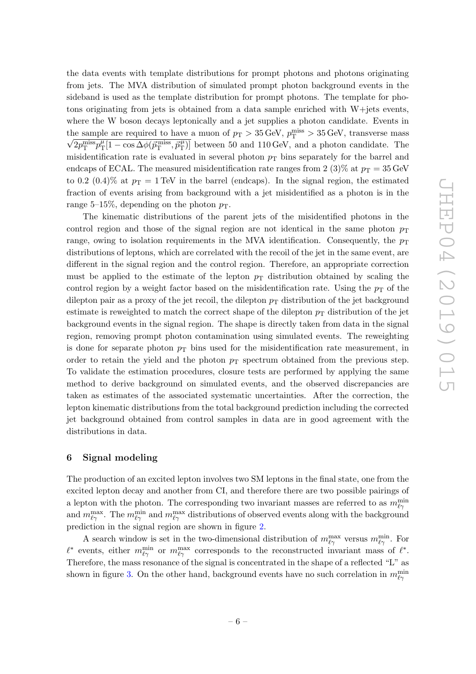the data events with template distributions for prompt photons and photons originating from jets. The MVA distribution of simulated prompt photon background events in the sideband is used as the template distribution for prompt photons. The template for photons originating from jets is obtained from a data sample enriched with W+jets events, where the W boson decays leptonically and a jet supplies a photon candidate. Events in the sample are required to have a muon of  $p_T > 35 \,\text{GeV}, p_T^{\text{miss}} > 35 \,\text{GeV},$  transverse mass  $\sqrt{2p_\text{T}^{\text{miss}}p_\text{T}^\mu}$  $\frac{\mu}{T}[1 - \cos \Delta\phi(\vec{p}_T^{\text{miss}}, \vec{p}_T^{\mu})]$  between 50 and 110 GeV, and a photon candidate. The misidentification rate is evaluated in several photon  $p<sub>T</sub>$  bins separately for the barrel and endcaps of ECAL. The measured misidentification rate ranges from 2 (3)% at  $p_T = 35 \text{ GeV}$ to 0.2 (0.4)% at  $p_T = 1$  TeV in the barrel (endcaps). In the signal region, the estimated fraction of events arising from background with a jet misidentified as a photon is in the range 5–15%, depending on the photon  $p_T$ .

The kinematic distributions of the parent jets of the misidentified photons in the control region and those of the signal region are not identical in the same photon  $p_T$ range, owing to isolation requirements in the MVA identification. Consequently, the  $p_T$ distributions of leptons, which are correlated with the recoil of the jet in the same event, are different in the signal region and the control region. Therefore, an appropriate correction must be applied to the estimate of the lepton  $p<sub>T</sub>$  distribution obtained by scaling the control region by a weight factor based on the misidentification rate. Using the  $p_T$  of the dilepton pair as a proxy of the jet recoil, the dilepton  $p<sub>T</sub>$  distribution of the jet background estimate is reweighted to match the correct shape of the dilepton  $p<sub>T</sub>$  distribution of the jet background events in the signal region. The shape is directly taken from data in the signal region, removing prompt photon contamination using simulated events. The reweighting is done for separate photon  $p<sub>T</sub>$  bins used for the misidentification rate measurement, in order to retain the yield and the photon  $p<sub>T</sub>$  spectrum obtained from the previous step. To validate the estimation procedures, closure tests are performed by applying the same method to derive background on simulated events, and the observed discrepancies are taken as estimates of the associated systematic uncertainties. After the correction, the lepton kinematic distributions from the total background prediction including the corrected jet background obtained from control samples in data are in good agreement with the distributions in data.

#### <span id="page-6-0"></span>6 Signal modeling

The production of an excited lepton involves two SM leptons in the final state, one from the excited lepton decay and another from CI, and therefore there are two possible pairings of a lepton with the photon. The corresponding two invariant masses are referred to as  $m_{\ell\gamma}^{\text{min}}$ and  $m_{\ell\gamma}^{\rm max}$ . The  $m_{\ell\gamma}^{\rm min}$  and  $m_{\ell\gamma}^{\rm max}$  distributions of observed events along with the background prediction in the signal region are shown in figure [2.](#page-7-0)

A search window is set in the two-dimensional distribution of  $m_{\ell\gamma}^{\text{max}}$  versus  $m_{\ell\gamma}^{\text{min}}$ . For  $\ell^*$  events, either  $m_{\ell\gamma}^{\text{min}}$  or  $m_{\ell\gamma}^{\text{max}}$  corresponds to the reconstructed invariant mass of  $\ell^*$ . Therefore, the mass resonance of the signal is concentrated in the shape of a reflected "L" as shown in figure [3.](#page-8-0) On the other hand, background events have no such correlation in  $m_{\ell\gamma}^{\text{min}}$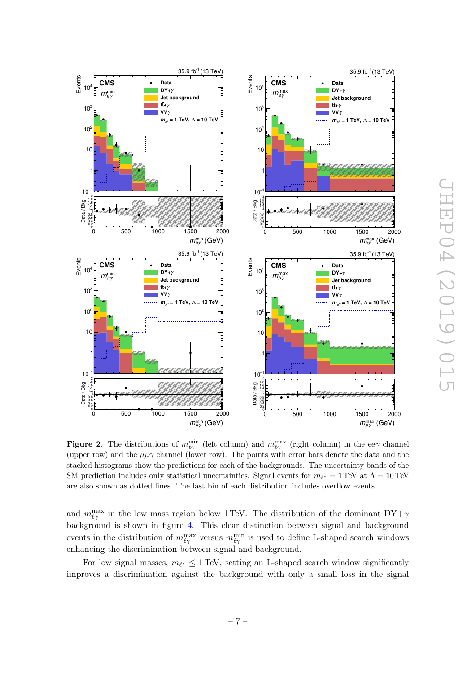<span id="page-7-0"></span>

**Figure 2.** The distributions of  $m_{\ell\gamma}^{\min}$  (left column) and  $m_{\ell\gamma}^{\max}$  (right column) in the ee $\gamma$  channel (upper row) and the  $\mu\mu\gamma$  channel (lower row). The points with error bars denote the data and the stacked histograms show the predictions for each of the backgrounds. The uncertainty bands of the SM prediction includes only statistical uncertainties. Signal events for  $m_{\ell^*} = 1 \,\text{TeV}$  at  $\Lambda = 10 \,\text{TeV}$ are also shown as dotted lines. The last bin of each distribution includes overflow events.

and  $m_{\ell\gamma}^{\rm max}$  in the low mass region below 1 TeV. The distribution of the dominant DY+ $\gamma$ background is shown in figure [4.](#page-8-1) This clear distinction between signal and background events in the distribution of  $m_{\ell\gamma}^{\text{max}}$  versus  $m_{\ell\gamma}^{\text{min}}$  is used to define L-shaped search windows enhancing the discrimination between signal and background.

For low signal masses,  $m_{\ell^*} \leq 1$  TeV, setting an L-shaped search window significantly improves a discrimination against the background with only a small loss in the signal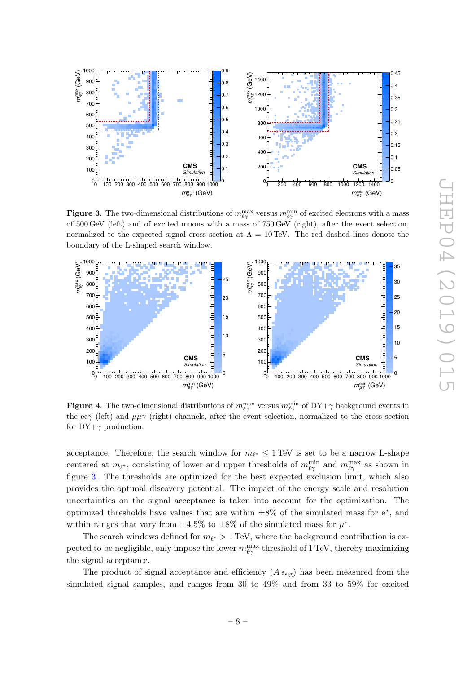<span id="page-8-0"></span>

**Figure 3**. The two-dimensional distributions of  $m_{\ell\gamma}^{\text{max}}$  versus  $m_{\ell\gamma}^{\text{min}}$  of excited electrons with a mass of 500 GeV (left) and of excited muons with a mass of 750 GeV (right), after the event selection, normalized to the expected signal cross section at  $\Lambda = 10$  TeV. The red dashed lines denote the boundary of the L-shaped search window.

<span id="page-8-1"></span>

**Figure 4.** The two-dimensional distributions of  $m_{\ell\gamma}^{\text{max}}$  versus  $m_{\ell\gamma}^{\text{min}}$  of DY+ $\gamma$  background events in the eeγ (left) and  $\mu\mu\gamma$  (right) channels, after the event selection, normalized to the cross section for  $DY+\gamma$  production.

acceptance. Therefore, the search window for  $m_{\ell^*} \leq 1$  TeV is set to be a narrow L-shape centered at  $m_{\ell^*}$ , consisting of lower and upper thresholds of  $m_{\ell\gamma}^{\min}$  and  $m_{\ell\gamma}^{\max}$  as shown in figure [3.](#page-8-0) The thresholds are optimized for the best expected exclusion limit, which also provides the optimal discovery potential. The impact of the energy scale and resolution uncertainties on the signal acceptance is taken into account for the optimization. The optimized thresholds have values that are within  $\pm 8\%$  of the simulated mass for e<sup>\*</sup>, and within ranges that vary from  $\pm 4.5\%$  to  $\pm 8\%$  of the simulated mass for  $\mu^*$ .

The search windows defined for  $m_{\ell^*} > 1$  TeV, where the background contribution is expected to be negligible, only impose the lower  $m_{\ell\gamma}^{\rm max}$  threshold of 1 TeV, thereby maximizing the signal acceptance.

The product of signal acceptance and efficiency  $(A \epsilon_{sig})$  has been measured from the simulated signal samples, and ranges from 30 to 49% and from 33 to 59% for excited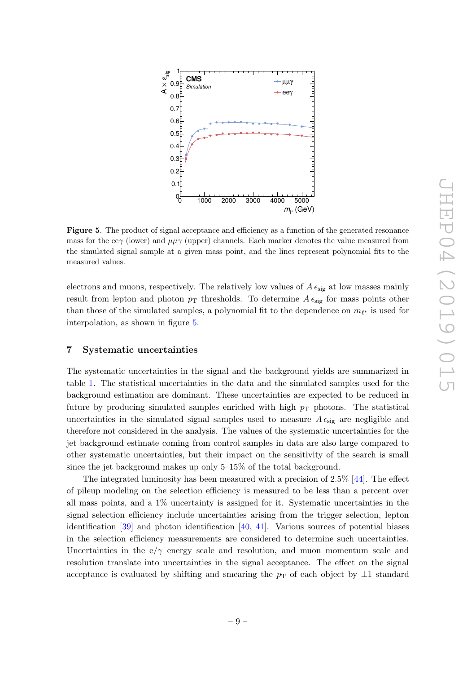<span id="page-9-1"></span>

Figure 5. The product of signal acceptance and efficiency as a function of the generated resonance mass for the eeγ (lower) and  $\mu\mu\gamma$  (upper) channels. Each marker denotes the value measured from the simulated signal sample at a given mass point, and the lines represent polynomial fits to the measured values.

electrons and muons, respectively. The relatively low values of  $A \epsilon_{sig}$  at low masses mainly result from lepton and photon  $p_T$  thresholds. To determine  $A \epsilon_{sig}$  for mass points other than those of the simulated samples, a polynomial fit to the dependence on  $m_{\ell^*}$  is used for interpolation, as shown in figure [5.](#page-9-1)

#### <span id="page-9-0"></span>7 Systematic uncertainties

The systematic uncertainties in the signal and the background yields are summarized in table [1.](#page-10-1) The statistical uncertainties in the data and the simulated samples used for the background estimation are dominant. These uncertainties are expected to be reduced in future by producing simulated samples enriched with high  $p<sub>T</sub>$  photons. The statistical uncertainties in the simulated signal samples used to measure  $A \epsilon_{sig}$  are negligible and therefore not considered in the analysis. The values of the systematic uncertainties for the jet background estimate coming from control samples in data are also large compared to other systematic uncertainties, but their impact on the sensitivity of the search is small since the jet background makes up only 5–15% of the total background.

The integrated luminosity has been measured with a precision of 2.5% [\[44\]](#page-17-13). The effect of pileup modeling on the selection efficiency is measured to be less than a percent over all mass points, and a 1% uncertainty is assigned for it. Systematic uncertainties in the signal selection efficiency include uncertainties arising from the trigger selection, lepton identification [\[39\]](#page-17-8) and photon identification [\[40,](#page-17-9) [41\]](#page-17-10). Various sources of potential biases in the selection efficiency measurements are considered to determine such uncertainties. Uncertainties in the  $e/\gamma$  energy scale and resolution, and muon momentum scale and resolution translate into uncertainties in the signal acceptance. The effect on the signal acceptance is evaluated by shifting and smearing the  $p<sub>T</sub>$  of each object by  $\pm 1$  standard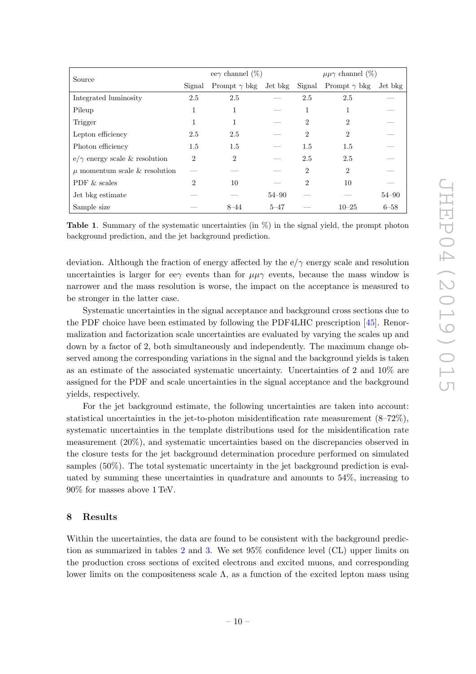<span id="page-10-1"></span>

| Source                               |                | ee $\gamma$ channel $(\%)$ |           | $\mu\mu\gamma$ channel (%)  |                            |           |
|--------------------------------------|----------------|----------------------------|-----------|-----------------------------|----------------------------|-----------|
|                                      | Signal         | Prompt $\gamma$ bkg        | Jet bkg   |                             | Signal Prompt $\gamma$ bkg | Jet bkg   |
| Integrated luminosity                | 2.5            | 2.5                        |           | 2.5                         | 2.5                        |           |
| Pileup                               |                | 1                          |           | 1                           | 1                          |           |
| Trigger                              |                | 1                          |           | $\mathcal{D}_{\mathcal{L}}$ | $\mathfrak{D}$             |           |
| Lepton efficiency                    | 2.5            | 2.5                        |           | $\mathcal{D}$               | $\overline{2}$             |           |
| Photon efficiency                    | 1.5            | 1.5                        |           | $1.5\,$                     | 1.5                        |           |
| $e/\gamma$ energy scale & resolution | $\overline{2}$ | $\overline{2}$             |           | 2.5                         | 2.5                        |           |
| $\mu$ momentum scale & resolution    |                |                            |           | $\mathcal{D}_{\mathcal{L}}$ | $\overline{2}$             |           |
| PDF & scales                         | $\overline{2}$ | 10                         |           | $\mathcal{D}$               | 10                         |           |
| Jet bkg estimate                     |                |                            | $54 - 90$ |                             |                            | $54 - 90$ |
| Sample size                          |                | $8 - 44$                   | $5 - 47$  |                             | $10 - 25$                  | $6 - 58$  |

**Table 1.** Summary of the systematic uncertainties (in  $\%$ ) in the signal yield, the prompt photon background prediction, and the jet background prediction.

deviation. Although the fraction of energy affected by the  $e/\gamma$  energy scale and resolution uncertainties is larger for ee $\gamma$  events than for  $\mu\mu\gamma$  events, because the mass window is narrower and the mass resolution is worse, the impact on the acceptance is measured to be stronger in the latter case.

Systematic uncertainties in the signal acceptance and background cross sections due to the PDF choice have been estimated by following the PDF4LHC prescription [\[45\]](#page-17-14). Renormalization and factorization scale uncertainties are evaluated by varying the scales up and down by a factor of 2, both simultaneously and independently. The maximum change observed among the corresponding variations in the signal and the background yields is taken as an estimate of the associated systematic uncertainty. Uncertainties of 2 and 10% are assigned for the PDF and scale uncertainties in the signal acceptance and the background yields, respectively.

For the jet background estimate, the following uncertainties are taken into account: statistical uncertainties in the jet-to-photon misidentification rate measurement  $(8-72\%)$ , systematic uncertainties in the template distributions used for the misidentification rate measurement (20%), and systematic uncertainties based on the discrepancies observed in the closure tests for the jet background determination procedure performed on simulated samples (50%). The total systematic uncertainty in the jet background prediction is evaluated by summing these uncertainties in quadrature and amounts to 54%, increasing to 90% for masses above 1 TeV.

#### <span id="page-10-0"></span>8 Results

Within the uncertainties, the data are found to be consistent with the background prediction as summarized in tables [2](#page-11-0) and [3.](#page-12-0) We set 95% confidence level (CL) upper limits on the production cross sections of excited electrons and excited muons, and corresponding lower limits on the compositeness scale  $\Lambda$ , as a function of the excited lepton mass using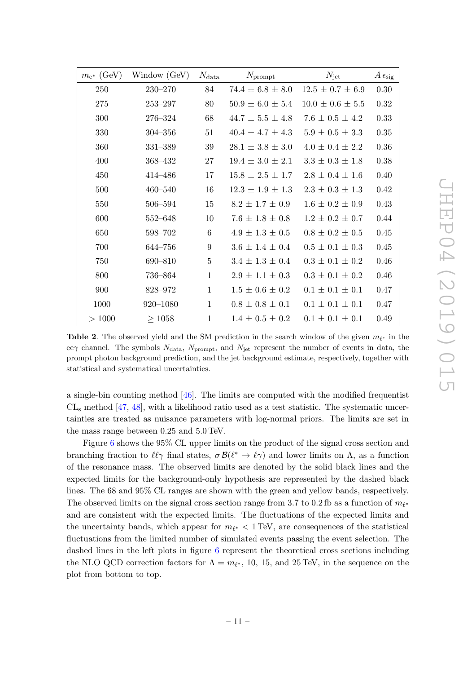| $_{\rm e^*}$ (GeV) | Window (GeV) | $N_{\rm data}$ | $N_{\mathrm{prompt}}$  | $N_{\rm jet}$          | A $\epsilon_{\rm sig}$ |
|--------------------|--------------|----------------|------------------------|------------------------|------------------------|
| 250                | $230 - 270$  | 84             | $74.4 \pm 6.8 \pm 8.0$ | $12.5 \pm 0.7 \pm 6.9$ | 0.30                   |
| 275                | $253 - 297$  | 80             | $50.9 \pm 6.0 \pm 5.4$ | $10.0 \pm 0.6 \pm 5.5$ | 0.32                   |
| 300                | 276-324      | 68             | $44.7 \pm 5.5 \pm 4.8$ | $7.6 \pm 0.5 \pm 4.2$  | 0.33                   |
| 330                | $304 - 356$  | 51             | $40.4 \pm 4.7 \pm 4.3$ | $5.9 \pm 0.5 \pm 3.3$  | 0.35                   |
| 360                | 331-389      | 39             | $28.1 \pm 3.8 \pm 3.0$ | $4.0 \pm 0.4 \pm 2.2$  | 0.36                   |
| 400                | 368-432      | 27             | $19.4 \pm 3.0 \pm 2.1$ | $3.3 \pm 0.3 \pm 1.8$  | 0.38                   |
| 450                | $414 - 486$  | 17             | $15.8 \pm 2.5 \pm 1.7$ | $2.8 \pm 0.4 \pm 1.6$  | 0.40                   |
| 500                | $460 - 540$  | 16             | $12.3 \pm 1.9 \pm 1.3$ | $2.3 \pm 0.3 \pm 1.3$  | 0.42                   |
| 550                | 506-594      | 15             | $8.2 \pm 1.7 \pm 0.9$  | $1.6 \pm 0.2 \pm 0.9$  | 0.43                   |
| 600                | $552 - 648$  | 10             | $7.6 \pm 1.8 \pm 0.8$  | $1.2 \pm 0.2 \pm 0.7$  | 0.44                   |
| 650                | 598-702      | 6              | $4.9 \pm 1.3 \pm 0.5$  | $0.8 \pm 0.2 \pm 0.5$  | 0.45                   |
| 700                | 644-756      | 9              | $3.6 \pm 1.4 \pm 0.4$  | $0.5 \pm 0.1 \pm 0.3$  | 0.45                   |
| 750                | 690-810      | $\overline{5}$ | $3.4 \pm 1.3 \pm 0.4$  | $0.3 \pm 0.1 \pm 0.2$  | 0.46                   |
| 800                | 736-864      | 1              | $2.9 \pm 1.1 \pm 0.3$  | $0.3 \pm 0.1 \pm 0.2$  | 0.46                   |
| 900                | 828-972      | $\mathbf{1}$   | $1.5 \pm 0.6 \pm 0.2$  | $0.1 \pm 0.1 \pm 0.1$  | 0.47                   |
| 1000               | $920 - 1080$ | $\mathbf{1}$   | $0.8 \pm 0.8 \pm 0.1$  | $0.1 \pm 0.1 \pm 0.1$  | 0.47                   |
| >1000              | $\geq 1058$  | $\mathbf{1}$   | $1.4 \pm 0.5 \pm 0.2$  | $0.1 \pm 0.1 \pm 0.1$  | 0.49                   |
|                    |              |                |                        |                        |                        |

<span id="page-11-0"></span> $m_{\rm e^*}$ 

**Table 2.** The observed yield and the SM prediction in the search window of the given  $m_{\ell^*}$  in the eeγ channel. The symbols  $N_{data}$ ,  $N_{prompt}$ , and  $N_{jet}$  represent the number of events in data, the prompt photon background prediction, and the jet background estimate, respectively, together with statistical and systematical uncertainties.

a single-bin counting method  $[46]$ . The limits are computed with the modified frequentist  $CL<sub>s</sub>$  method [\[47,](#page-17-16) [48\]](#page-17-17), with a likelihood ratio used as a test statistic. The systematic uncertainties are treated as nuisance parameters with log-normal priors. The limits are set in the mass range between 0.25 and 5.0 TeV.

Figure [6](#page-13-1) shows the 95% CL upper limits on the product of the signal cross section and branching fraction to  $\ell\ell\gamma$  final states,  $\sigma \mathcal{B}(\ell^* \to \ell\gamma)$  and lower limits on  $\Lambda$ , as a function of the resonance mass. The observed limits are denoted by the solid black lines and the expected limits for the background-only hypothesis are represented by the dashed black lines. The 68 and 95% CL ranges are shown with the green and yellow bands, respectively. The observed limits on the signal cross section range from 3.7 to 0.2 fb as a function of  $m_{\ell^*}$ and are consistent with the expected limits. The fluctuations of the expected limits and the uncertainty bands, which appear for  $m_{\ell^*} < 1$  TeV, are consequences of the statistical fluctuations from the limited number of simulated events passing the event selection. The dashed lines in the left plots in figure [6](#page-13-1) represent the theoretical cross sections including the NLO QCD correction factors for  $\Lambda = m_{\ell^*}$ , 10, 15, and 25 TeV, in the sequence on the plot from bottom to top.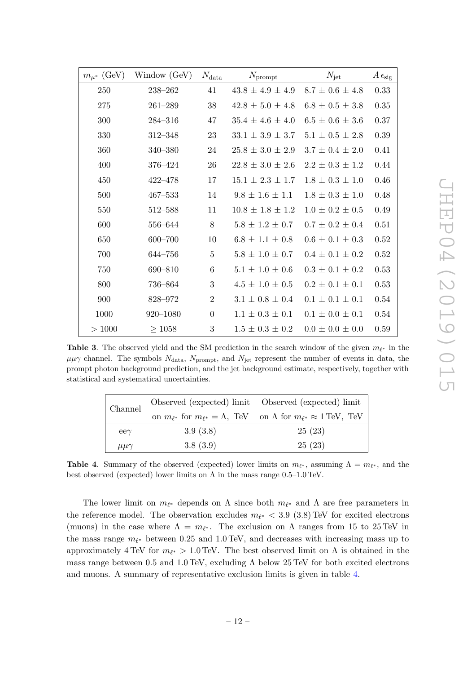<span id="page-12-0"></span>

| $m_{\mu^*}$ (GeV) | Window (GeV) | $N_{\rm data}$   | $N_{\text{prompt}}$    | $N_{\rm jet}$         | $A \epsilon_{\text{sig}}$ |
|-------------------|--------------|------------------|------------------------|-----------------------|---------------------------|
| 250               | $238 - 262$  | 41               | $43.8 \pm 4.9 \pm 4.9$ | $8.7 \pm 0.6 \pm 4.8$ | 0.33                      |
| 275               | $261 - 289$  | 38               | $42.8 \pm 5.0 \pm 4.8$ | $6.8 \pm 0.5 \pm 3.8$ | 0.35                      |
| 300               | 284-316      | 47               | $35.4 \pm 4.6 \pm 4.0$ | $6.5 \pm 0.6 \pm 3.6$ | 0.37                      |
| 330               | $312 - 348$  | 23               | $33.1 \pm 3.9 \pm 3.7$ | $5.1 \pm 0.5 \pm 2.8$ | 0.39                      |
| 360               | $340 - 380$  | 24               | $25.8 \pm 3.0 \pm 2.9$ | $3.7 \pm 0.4 \pm 2.0$ | 0.41                      |
| 400               | 376-424      | 26               | $22.8 \pm 3.0 \pm 2.6$ | $2.2 \pm 0.3 \pm 1.2$ | 0.44                      |
| 450               | $422 - 478$  | 17               | $15.1 \pm 2.3 \pm 1.7$ | $1.8 \pm 0.3 \pm 1.0$ | 0.46                      |
| 500               | $467 - 533$  | 14               | $9.8 \pm 1.6 \pm 1.1$  | $1.8 \pm 0.3 \pm 1.0$ | 0.48                      |
| 550               | 512-588      | 11               | $10.8 \pm 1.8 \pm 1.2$ | $1.0 \pm 0.2 \pm 0.5$ | 0.49                      |
| 600               | 556-644      | 8                | $5.8 \pm 1.2 \pm 0.7$  | $0.7 \pm 0.2 \pm 0.4$ | 0.51                      |
| 650               | $600 - 700$  | 10               | $6.8 \pm 1.1 \pm 0.8$  | $0.6 \pm 0.1 \pm 0.3$ | 0.52                      |
| 700               | 644-756      | $5\,$            | $5.8 \pm 1.0 \pm 0.7$  | $0.4 \pm 0.1 \pm 0.2$ | 0.52                      |
| 750               | 690-810      | 6                | $5.1 \pm 1.0 \pm 0.6$  | $0.3 \pm 0.1 \pm 0.2$ | 0.53                      |
| 800               | 736-864      | $\boldsymbol{3}$ | $4.5 \pm 1.0 \pm 0.5$  | $0.2 \pm 0.1 \pm 0.1$ | 0.53                      |
| 900               | 828-972      | $\overline{2}$   | $3.1 \pm 0.8 \pm 0.4$  | $0.1 \pm 0.1 \pm 0.1$ | 0.54                      |
| 1000              | $920 - 1080$ | $\theta$         | $1.1 \pm 0.3 \pm 0.1$  | $0.1 \pm 0.0 \pm 0.1$ | 0.54                      |
| >1000             | $\geq 1058$  | 3                | $1.5 \pm 0.3 \pm 0.2$  | $0.0 \pm 0.0 \pm 0.0$ | 0.59                      |

JHEP04(2019)015 JHEP04(2019)015

**Table 3.** The observed yield and the SM prediction in the search window of the given  $m_{\ell^*}$  in the  $\mu\mu\gamma$  channel. The symbols  $N_{\text{data}}$ ,  $N_{\text{prompt}}$ , and  $N_{\text{jet}}$  represent the number of events in data, the prompt photon background prediction, and the jet background estimate, respectively, together with statistical and systematical uncertainties.

<span id="page-12-1"></span>

| Channel        |          | Observed (expected) limit Observed (expected) limit                                               |  |  |
|----------------|----------|---------------------------------------------------------------------------------------------------|--|--|
|                |          | on $m_{\ell^*}$ for $m_{\ell^*} = \Lambda$ , TeV on $\Lambda$ for $m_{\ell^*} \approx 1$ TeV, TeV |  |  |
| $ee\gamma$     | 3.9(3.8) | 25(23)                                                                                            |  |  |
| $\mu\mu\gamma$ | 3.8(3.9) | 25(23)                                                                                            |  |  |

**Table 4.** Summary of the observed (expected) lower limits on  $m_{\ell^*}$ , assuming  $\Lambda = m_{\ell^*}$ , and the best observed (expected) lower limits on  $\Lambda$  in the mass range 0.5–1.0 TeV.

The lower limit on  $m_{\ell^*}$  depends on  $\Lambda$  since both  $m_{\ell^*}$  and  $\Lambda$  are free parameters in the reference model. The observation excludes  $m_{\ell^*} < 3.9$  (3.8) TeV for excited electrons (muons) in the case where  $\Lambda = m_{\ell^*}$ . The exclusion on  $\Lambda$  ranges from 15 to 25 TeV in the mass range  $m_{\ell^*}$  between 0.25 and 1.0 TeV, and decreases with increasing mass up to approximately 4 TeV for  $m_{\ell^*} > 1.0$  TeV. The best observed limit on  $\Lambda$  is obtained in the mass range between 0.5 and 1.0 TeV, excluding  $\Lambda$  below 25 TeV for both excited electrons and muons. A summary of representative exclusion limits is given in table [4.](#page-12-1)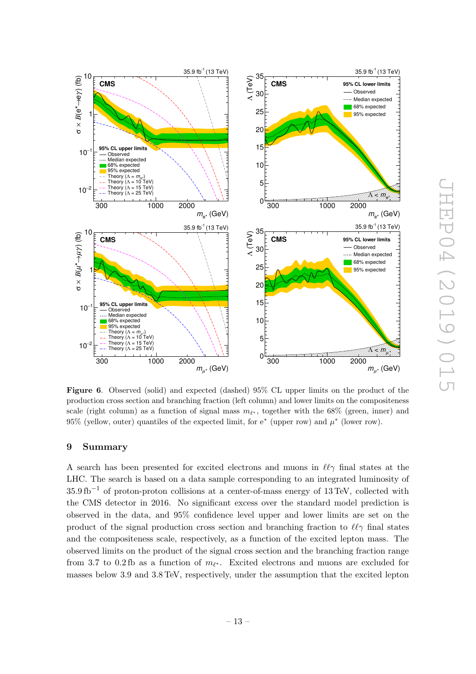<span id="page-13-1"></span>

Figure 6. Observed (solid) and expected (dashed) 95% CL upper limits on the product of the production cross section and branching fraction (left column) and lower limits on the compositeness scale (right column) as a function of signal mass  $m_{\ell^*}$ , together with the 68% (green, inner) and 95% (yellow, outer) quantiles of the expected limit, for  $e^*$  (upper row) and  $\mu^*$  (lower row).

# <span id="page-13-0"></span>9 Summary

A search has been presented for excited electrons and muons in  $\ell\ell\gamma$  final states at the LHC. The search is based on a data sample corresponding to an integrated luminosity of  $35.9\,\text{fb}^{-1}$  of proton-proton collisions at a center-of-mass energy of 13 TeV, collected with the CMS detector in 2016. No significant excess over the standard model prediction is observed in the data, and 95% confidence level upper and lower limits are set on the product of the signal production cross section and branching fraction to  $\ell\ell\gamma$  final states and the compositeness scale, respectively, as a function of the excited lepton mass. The observed limits on the product of the signal cross section and the branching fraction range from 3.7 to 0.2 fb as a function of  $m_{\ell^*}$ . Excited electrons and muons are excluded for masses below 3.9 and 3.8 TeV, respectively, under the assumption that the excited lepton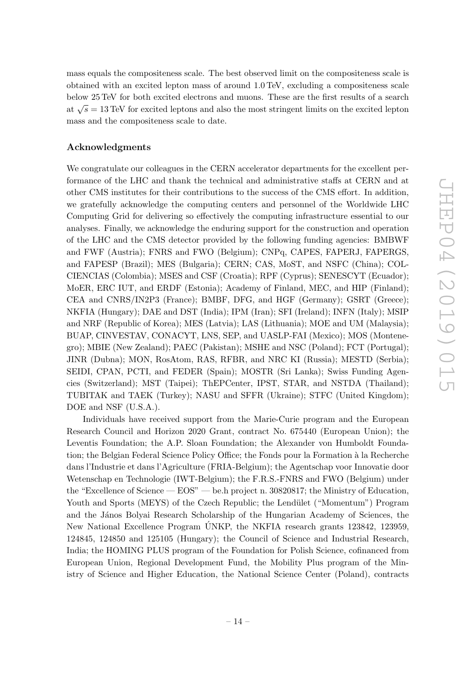mass equals the compositeness scale. The best observed limit on the compositeness scale is obtained with an excited lepton mass of around 1.0 TeV, excluding a compositeness scale below 25 TeV for both excited electrons and muons. These are the first results of a search at  $\sqrt{s} = 13 \text{ TeV}$  for excited leptons and also the most stringent limits on the excited lepton mass and the compositeness scale to date.

#### Acknowledgments

We congratulate our colleagues in the CERN accelerator departments for the excellent performance of the LHC and thank the technical and administrative staffs at CERN and at other CMS institutes for their contributions to the success of the CMS effort. In addition, we gratefully acknowledge the computing centers and personnel of the Worldwide LHC Computing Grid for delivering so effectively the computing infrastructure essential to our analyses. Finally, we acknowledge the enduring support for the construction and operation of the LHC and the CMS detector provided by the following funding agencies: BMBWF and FWF (Austria); FNRS and FWO (Belgium); CNPq, CAPES, FAPERJ, FAPERGS, and FAPESP (Brazil); MES (Bulgaria); CERN; CAS, MoST, and NSFC (China); COL-CIENCIAS (Colombia); MSES and CSF (Croatia); RPF (Cyprus); SENESCYT (Ecuador); MoER, ERC IUT, and ERDF (Estonia); Academy of Finland, MEC, and HIP (Finland); CEA and CNRS/IN2P3 (France); BMBF, DFG, and HGF (Germany); GSRT (Greece); NKFIA (Hungary); DAE and DST (India); IPM (Iran); SFI (Ireland); INFN (Italy); MSIP and NRF (Republic of Korea); MES (Latvia); LAS (Lithuania); MOE and UM (Malaysia); BUAP, CINVESTAV, CONACYT, LNS, SEP, and UASLP-FAI (Mexico); MOS (Montenegro); MBIE (New Zealand); PAEC (Pakistan); MSHE and NSC (Poland); FCT (Portugal); JINR (Dubna); MON, RosAtom, RAS, RFBR, and NRC KI (Russia); MESTD (Serbia); SEIDI, CPAN, PCTI, and FEDER (Spain); MOSTR (Sri Lanka); Swiss Funding Agencies (Switzerland); MST (Taipei); ThEPCenter, IPST, STAR, and NSTDA (Thailand); TUBITAK and TAEK (Turkey); NASU and SFFR (Ukraine); STFC (United Kingdom); DOE and NSF (U.S.A.).

Individuals have received support from the Marie-Curie program and the European Research Council and Horizon 2020 Grant, contract No. 675440 (European Union); the Leventis Foundation; the A.P. Sloan Foundation; the Alexander von Humboldt Foundation; the Belgian Federal Science Policy Office; the Fonds pour la Formation à la Recherche dans l'Industrie et dans l'Agriculture (FRIA-Belgium); the Agentschap voor Innovatie door Wetenschap en Technologie (IWT-Belgium); the F.R.S.-FNRS and FWO (Belgium) under the "Excellence of Science — EOS" — be.h project n. 30820817; the Ministry of Education, Youth and Sports (MEYS) of the Czech Republic; the Lendület ("Momentum") Program and the János Bolyai Research Scholarship of the Hungarian Academy of Sciences, the New National Excellence Program UNKP, the NKFIA research grants 123842, 123959, 124845, 124850 and 125105 (Hungary); the Council of Science and Industrial Research, India; the HOMING PLUS program of the Foundation for Polish Science, cofinanced from European Union, Regional Development Fund, the Mobility Plus program of the Ministry of Science and Higher Education, the National Science Center (Poland), contracts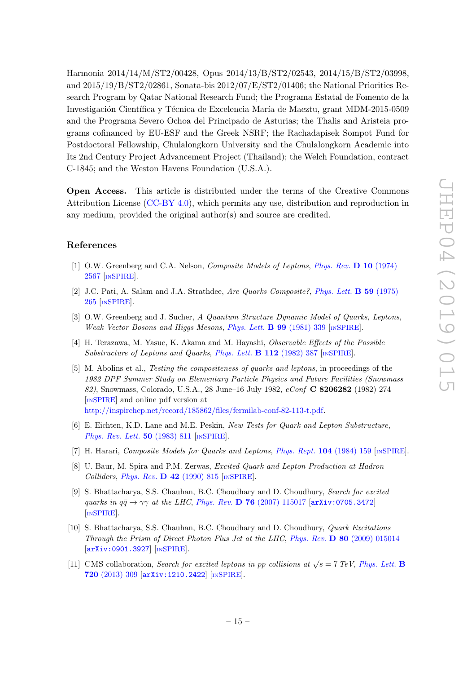Harmonia 2014/14/M/ST2/00428, Opus 2014/13/B/ST2/02543, 2014/15/B/ST2/03998, and 2015/19/B/ST2/02861, Sonata-bis 2012/07/E/ST2/01406; the National Priorities Research Program by Qatar National Research Fund; the Programa Estatal de Fomento de la Investigación Científica y Técnica de Excelencia María de Maeztu, grant MDM-2015-0509 and the Programa Severo Ochoa del Principado de Asturias; the Thalis and Aristeia programs cofinanced by EU-ESF and the Greek NSRF; the Rachadapisek Sompot Fund for Postdoctoral Fellowship, Chulalongkorn University and the Chulalongkorn Academic into Its 2nd Century Project Advancement Project (Thailand); the Welch Foundation, contract C-1845; and the Weston Havens Foundation (U.S.A.).

Open Access. This article is distributed under the terms of the Creative Commons Attribution License [\(CC-BY 4.0\)](https://creativecommons.org/licenses/by/4.0/), which permits any use, distribution and reproduction in any medium, provided the original author(s) and source are credited.

#### References

- <span id="page-15-0"></span>[1] O.W. Greenberg and C.A. Nelson, Composite Models of Leptons, [Phys. Rev.](https://doi.org/10.1103/PhysRevD.10.2567) D 10 (1974) [2567](https://doi.org/10.1103/PhysRevD.10.2567) [IN[SPIRE](https://inspirehep.net/search?p=find+J+%22Phys.Rev.,D10,2567%22)].
- [2] J.C. Pati, A. Salam and J.A. Strathdee, Are Quarks Composite?, [Phys. Lett.](https://doi.org/10.1016/0370-2693(75)90042-8) B 59 (1975) [265](https://doi.org/10.1016/0370-2693(75)90042-8) [IN[SPIRE](https://inspirehep.net/search?p=find+J+%22Phys.Lett.,B59,265%22)].
- [3] O.W. Greenberg and J. Sucher, A Quantum Structure Dynamic Model of Quarks, Leptons, Weak Vector Bosons and Higgs Mesons, *[Phys. Lett.](https://doi.org/10.1016/0370-2693(81)90113-1)* **B 99** (1981) 339 [IN[SPIRE](https://inspirehep.net/search?p=find+J+%22Phys.Lett.,B99,339%22)].
- [4] H. Terazawa, M. Yasue, K. Akama and M. Hayashi, Observable Effects of the Possible Substructure of Leptons and Quarks, [Phys. Lett.](https://doi.org/10.1016/0370-2693(82)91075-9) **B 112** (1982) 387 [IN[SPIRE](https://inspirehep.net/search?p=find+J+%22Phys.Lett.,B112,387%22)].
- [5] M. Abolins et al., Testing the compositeness of quarks and leptons, in proceedings of the 1982 DPF Summer Study on Elementary Particle Physics and Future Facilities (Snowmass 82), Snowmass, Colorado, U.S.A., 28 June–16 July 1982, eConf C 8206282 (1982) 274 [IN[SPIRE](https://inspirehep.net/search?p=find+J+%22eConf,C8206282,274%22)] and online pdf version at [http://inspirehep.net/record/185862/files/fermilab-conf-82-113-t.pdf.](http://inspirehep.net/record/185862/files/fermilab-conf-82-113-t.pdf)
- [6] E. Eichten, K.D. Lane and M.E. Peskin, New Tests for Quark and Lepton Substructure, [Phys. Rev. Lett.](https://doi.org/10.1103/PhysRevLett.50.811) **50** (1983) 811 [IN[SPIRE](https://inspirehep.net/search?p=find+J+%22Phys.Rev.Lett.,50,811%22)].
- [7] H. Harari, Composite Models for Quarks and Leptons, [Phys. Rept.](https://doi.org/10.1016/0370-1573(84)90207-2) 104 (1984) 159 [IN[SPIRE](https://inspirehep.net/search?p=find+J+%22Phys.Rept.,104,159%22)].
- <span id="page-15-2"></span>[8] U. Baur, M. Spira and P.M. Zerwas, Excited Quark and Lepton Production at Hadron Colliders, [Phys. Rev.](https://doi.org/10.1103/PhysRevD.42.815) D 42 (1990) 815 [IN[SPIRE](https://inspirehep.net/search?p=find+J+%22Phys.Rev.,D42,815%22)].
- [9] S. Bhattacharya, S.S. Chauhan, B.C. Choudhary and D. Choudhury, Search for excited quarks in  $q\bar{q} \rightarrow \gamma\gamma$  at the LHC, Phys. Rev. **D 76** [\(2007\) 115017](https://doi.org/10.1103/PhysRevD.76.115017) [[arXiv:0705.3472](https://arxiv.org/abs/0705.3472)] [IN[SPIRE](https://inspirehep.net/search?p=find+EPRINT+arXiv:0705.3472)].
- <span id="page-15-1"></span>[10] S. Bhattacharya, S.S. Chauhan, B.C. Choudhary and D. Choudhury, Quark Excitations Through the Prism of Direct Photon Plus Jet at the LHC, Phys. Rev. D 80 [\(2009\) 015014](https://doi.org/10.1103/PhysRevD.80.015014) [[arXiv:0901.3927](https://arxiv.org/abs/0901.3927)] [IN[SPIRE](https://inspirehep.net/search?p=find+EPRINT+arXiv:0901.3927)].
- <span id="page-15-3"></span>[11] CMS collaboration, Search for excited leptons in pp collisions at  $\sqrt{s} = 7 \text{ TeV}$ , [Phys. Lett.](https://doi.org/10.1016/j.physletb.2013.02.031) **B** 720 [\(2013\) 309](https://doi.org/10.1016/j.physletb.2013.02.031) [[arXiv:1210.2422](https://arxiv.org/abs/1210.2422)] [IN[SPIRE](https://inspirehep.net/search?p=find+EPRINT+arXiv:1210.2422)].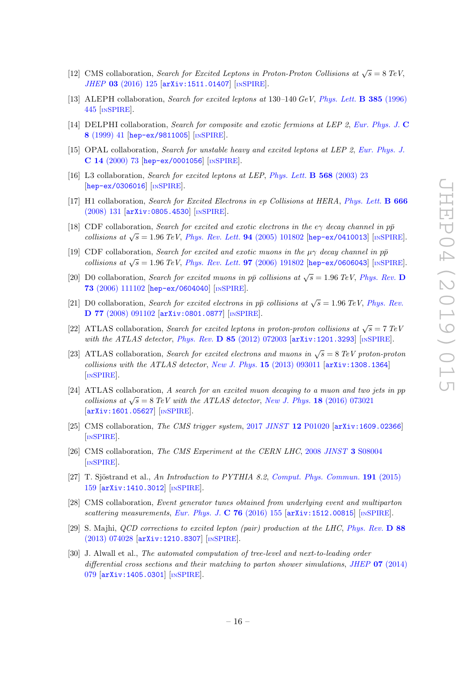- <span id="page-16-0"></span>[12] CMS collaboration, Search for Excited Leptons in Proton-Proton Collisions at  $\sqrt{s} = 8 \text{ TeV}$ , JHEP 03 [\(2016\) 125](https://doi.org/10.1007/JHEP03(2016)125) [[arXiv:1511.01407](https://arxiv.org/abs/1511.01407)] [IN[SPIRE](https://inspirehep.net/search?p=find+EPRINT+arXiv:1511.01407)].
- <span id="page-16-1"></span>[13] ALEPH collaboration, Search for excited leptons at 130–140 GeV, [Phys. Lett.](https://doi.org/10.1016/0370-2693(96)00961-6) **B 385** (1996) [445](https://doi.org/10.1016/0370-2693(96)00961-6) [IN[SPIRE](https://inspirehep.net/search?p=find+J+%22Phys.Lett.,B385,445%22)].
- [14] DELPHI collaboration, Search for composite and exotic fermions at LEP 2, [Eur. Phys. J.](https://doi.org/10.1007/s100529901074) C 8 [\(1999\) 41](https://doi.org/10.1007/s100529901074) [[hep-ex/9811005](https://arxiv.org/abs/hep-ex/9811005)] [IN[SPIRE](https://inspirehep.net/search?p=find+EPRINT+hep-ex/9811005)].
- [15] OPAL collaboration, Search for unstable heavy and excited leptons at LEP 2, [Eur. Phys. J.](https://doi.org/10.1007/s100520000345) C 14 [\(2000\) 73](https://doi.org/10.1007/s100520000345) [[hep-ex/0001056](https://arxiv.org/abs/hep-ex/0001056)] [IN[SPIRE](https://inspirehep.net/search?p=find+EPRINT+hep-ex/0001056)].
- <span id="page-16-2"></span>[16] L3 collaboration, Search for excited leptons at LEP, [Phys. Lett.](https://doi.org/10.1016/j.physletb.2003.05.004) B 568 (2003) 23 [[hep-ex/0306016](https://arxiv.org/abs/hep-ex/0306016)] [IN[SPIRE](https://inspirehep.net/search?p=find+EPRINT+hep-ex/0306016)].
- <span id="page-16-3"></span>[17] H1 collaboration, Search for Excited Electrons in ep Collisions at HERA, [Phys. Lett.](https://doi.org/10.1016/j.physletb.2008.07.014) B 666 [\(2008\) 131](https://doi.org/10.1016/j.physletb.2008.07.014) [[arXiv:0805.4530](https://arxiv.org/abs/0805.4530)] [IN[SPIRE](https://inspirehep.net/search?p=find+EPRINT+arXiv:0805.4530)].
- <span id="page-16-4"></span>[18] CDF collaboration, Search for excited and exotic electrons in the e $\gamma$  decay channel in pp collisions at  $\sqrt{s} = 1.96$  TeV, [Phys. Rev. Lett.](https://doi.org/10.1103/PhysRevLett.94.101802) **94** (2005) 101802 [[hep-ex/0410013](https://arxiv.org/abs/hep-ex/0410013)] [IN[SPIRE](https://inspirehep.net/search?p=find+EPRINT+hep-ex/0410013)].
- [19] CDF collaboration, Search for excited and exotic muons in the  $\mu\gamma$  decay channel in  $p\bar{p}$ collisions at  $\sqrt{s} = 1.96$  TeV, [Phys. Rev. Lett.](https://doi.org/10.1103/PhysRevLett.97.191802) **97** (2006) 191802 [[hep-ex/0606043](https://arxiv.org/abs/hep-ex/0606043)] [IN[SPIRE](https://inspirehep.net/search?p=find+EPRINT+hep-ex/0606043)].
- [20] D0 collaboration, Search for excited muons in  $p\bar{p}$  collisions at  $\sqrt{s} = 1.96 \text{ TeV}$ , [Phys. Rev.](https://doi.org/10.1103/PhysRevD.73.111102) D 73 [\(2006\) 111102](https://doi.org/10.1103/PhysRevD.73.111102) [[hep-ex/0604040](https://arxiv.org/abs/hep-ex/0604040)] [IN[SPIRE](https://inspirehep.net/search?p=find+EPRINT+hep-ex/0604040)].
- <span id="page-16-5"></span>[21] D0 collaboration, Search for excited electrons in  $p\bar{p}$  collisions at  $\sqrt{s} = 1.96 \text{ TeV}$ , [Phys. Rev.](https://doi.org/10.1103/PhysRevD.77.091102) D 77 [\(2008\) 091102](https://doi.org/10.1103/PhysRevD.77.091102) [[arXiv:0801.0877](https://arxiv.org/abs/0801.0877)] [IN[SPIRE](https://inspirehep.net/search?p=find+EPRINT+arXiv:0801.0877)].
- <span id="page-16-6"></span>[22] ATLAS collaboration, Search for excited leptons in proton-proton collisions at  $\sqrt{s} = 7 \text{ TeV}$ with the ATLAS detector, Phys. Rev.  $\bf{D} 85$  [\(2012\) 072003](https://doi.org/10.1103/PhysRevD.85.072003) [[arXiv:1201.3293](https://arxiv.org/abs/1201.3293)] [IN[SPIRE](https://inspirehep.net/search?p=find+EPRINT+arXiv:1201.3293)].
- <span id="page-16-7"></span>[23] ATLAS collaboration, Search for excited electrons and muons in  $\sqrt{s} = 8 \text{ TeV}$  proton-proton  $collisions\ with\ the\ ATLAS\ detector,\ New\ J.\ Phys.\ 15\ (2013)\ 093011\ [arXiv:1308.1364]$  $collisions\ with\ the\ ATLAS\ detector,\ New\ J.\ Phys.\ 15\ (2013)\ 093011\ [arXiv:1308.1364]$  $collisions\ with\ the\ ATLAS\ detector,\ New\ J.\ Phys.\ 15\ (2013)\ 093011\ [arXiv:1308.1364]$ [IN[SPIRE](https://inspirehep.net/search?p=find+EPRINT+arXiv:1308.1364)].
- <span id="page-16-8"></span>[24] ATLAS collaboration, A search for an excited muon decaying to a muon and two jets in pp collisions at  $\sqrt{s} = 8 \text{ TeV}$  with the ATLAS detector, New J. Phys. 18 [\(2016\) 073021](https://doi.org/10.1088/1367-2630/18/7/073021) [[arXiv:1601.05627](https://arxiv.org/abs/1601.05627)] [IN[SPIRE](https://inspirehep.net/search?p=find+EPRINT+arXiv:1601.05627)].
- <span id="page-16-9"></span>[25] CMS collaboration, The CMS trigger system, 2017 JINST 12 [P01020](https://doi.org/10.1088/1748-0221/12/01/P01020) [[arXiv:1609.02366](https://arxiv.org/abs/1609.02366)] [IN[SPIRE](https://inspirehep.net/search?p=find+EPRINT+arXiv:1609.02366)].
- <span id="page-16-10"></span>[26] CMS collaboration, The CMS Experiment at the CERN LHC, 2008 JINST 3 [S08004](https://doi.org/10.1088/1748-0221/3/08/S08004) [IN[SPIRE](https://inspirehep.net/search?p=find+J+%22JINST,3,S08004%22)].
- <span id="page-16-11"></span>[27] T. Sjöstrand et al., An Introduction to PYTHIA 8.2, [Comput. Phys. Commun.](https://doi.org/10.1016/j.cpc.2015.01.024) 191 (2015) [159](https://doi.org/10.1016/j.cpc.2015.01.024) [[arXiv:1410.3012](https://arxiv.org/abs/1410.3012)] [IN[SPIRE](https://inspirehep.net/search?p=find+EPRINT+arXiv:1410.3012)].
- <span id="page-16-12"></span>[28] CMS collaboration, Event generator tunes obtained from underlying event and multiparton scattering measurements, [Eur. Phys. J.](https://doi.org/10.1140/epjc/s10052-016-3988-x) C 76 (2016) 155  $\left[\text{arXiv:1512.00815}\right]$  $\left[\text{arXiv:1512.00815}\right]$  $\left[\text{arXiv:1512.00815}\right]$  [IN[SPIRE](https://inspirehep.net/search?p=find+EPRINT+arXiv:1512.00815)].
- <span id="page-16-13"></span>[29] S. Majhi, QCD corrections to excited lepton (pair) production at the LHC, [Phys. Rev.](https://doi.org/10.1103/PhysRevD.88.074028) D 88 [\(2013\) 074028](https://doi.org/10.1103/PhysRevD.88.074028) [[arXiv:1210.8307](https://arxiv.org/abs/1210.8307)] [IN[SPIRE](https://inspirehep.net/search?p=find+EPRINT+arXiv:1210.8307)].
- <span id="page-16-14"></span>[30] J. Alwall et al., The automated computation of tree-level and next-to-leading order differential cross sections and their matching to parton shower simulations, JHEP 07 [\(2014\)](https://doi.org/10.1007/JHEP07(2014)079) [079](https://doi.org/10.1007/JHEP07(2014)079) [[arXiv:1405.0301](https://arxiv.org/abs/1405.0301)] [IN[SPIRE](https://inspirehep.net/search?p=find+EPRINT+arXiv:1405.0301)].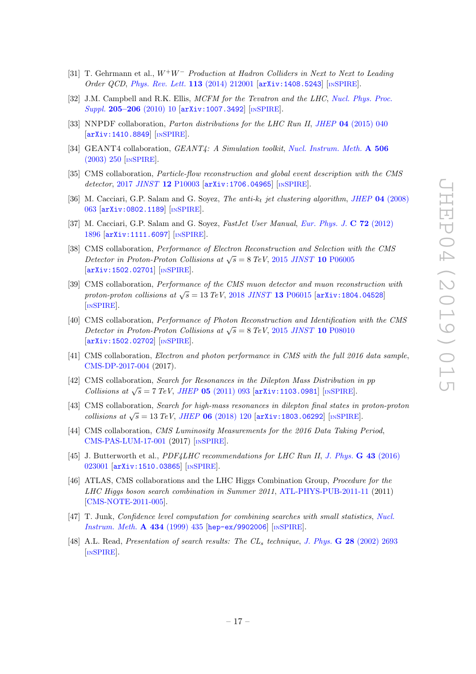- <span id="page-17-0"></span>[31] T. Gehrmann et al.,  $W^+W^-$  Production at Hadron Colliders in Next to Next to Leading Order QCD, [Phys. Rev. Lett.](https://doi.org/10.1103/PhysRevLett.113.212001) 113 (2014) 212001 [[arXiv:1408.5243](https://arxiv.org/abs/1408.5243)] [IN[SPIRE](https://inspirehep.net/search?p=find+EPRINT+arXiv:1408.5243)].
- <span id="page-17-1"></span>[32] J.M. Campbell and R.K. Ellis, MCFM for the Tevatron and the LHC, [Nucl. Phys. Proc.](https://doi.org/10.1016/j.nuclphysBPS.2010.08.011) Suppl. 205–206 [\(2010\) 10](https://doi.org/10.1016/j.nuclphysBPS.2010.08.011) [[arXiv:1007.3492](https://arxiv.org/abs/1007.3492)] [IN[SPIRE](https://inspirehep.net/search?p=find+EPRINT+arXiv:1007.3492)].
- <span id="page-17-2"></span>[33] NNPDF collaboration, *Parton distributions for the LHC Run II, JHEP* 04 [\(2015\) 040](https://doi.org/10.1007/JHEP04(2015)040) [[arXiv:1410.8849](https://arxiv.org/abs/1410.8849)] [IN[SPIRE](https://inspirehep.net/search?p=find+EPRINT+arXiv:1410.8849)].
- <span id="page-17-3"></span>[34] GEANT4 collaboration, *GEANT4: A Simulation toolkit, [Nucl. Instrum. Meth.](https://doi.org/10.1016/S0168-9002(03)01368-8)* A 506 [\(2003\) 250](https://doi.org/10.1016/S0168-9002(03)01368-8) [IN[SPIRE](https://inspirehep.net/search?p=find+J+%22Nucl.Instrum.Meth.,A506,250%22)].
- <span id="page-17-4"></span>[35] CMS collaboration, Particle-flow reconstruction and global event description with the CMS detector, 2017 JINST 12 [P10003](https://doi.org/10.1088/1748-0221/12/10/P10003) [[arXiv:1706.04965](https://arxiv.org/abs/1706.04965)] [IN[SPIRE](https://inspirehep.net/search?p=find+EPRINT+arXiv:1706.04965)].
- <span id="page-17-5"></span>[36] M. Cacciari, G.P. Salam and G. Soyez, The anti- $k_t$  jet clustering algorithm, JHEP 04 [\(2008\)](https://doi.org/10.1088/1126-6708/2008/04/063) [063](https://doi.org/10.1088/1126-6708/2008/04/063) [[arXiv:0802.1189](https://arxiv.org/abs/0802.1189)] [IN[SPIRE](https://inspirehep.net/search?p=find+EPRINT+arXiv:0802.1189)].
- <span id="page-17-6"></span>[37] M. Cacciari, G.P. Salam and G. Soyez, FastJet User Manual, [Eur. Phys. J.](https://doi.org/10.1140/epjc/s10052-012-1896-2) C 72 (2012) [1896](https://doi.org/10.1140/epjc/s10052-012-1896-2) [[arXiv:1111.6097](https://arxiv.org/abs/1111.6097)] [IN[SPIRE](https://inspirehep.net/search?p=find+EPRINT+arXiv:1111.6097)].
- <span id="page-17-7"></span>[38] CMS collaboration, Performance of Electron Reconstruction and Selection with the CMS Detector in Proton-Proton Collisions at  $\sqrt{s} = 8 \text{ TeV}$ , 2015 JINST 10 [P06005](https://doi.org/10.1088/1748-0221/10/06/P06005) [[arXiv:1502.02701](https://arxiv.org/abs/1502.02701)] [IN[SPIRE](https://inspirehep.net/search?p=find+EPRINT+arXiv:1502.02701)].
- <span id="page-17-8"></span>[39] CMS collaboration, Performance of the CMS muon detector and muon reconstruction with proton-proton collisions at  $\sqrt{s} = 13 \text{ TeV}$ , 2018 JINST 13 [P06015](https://doi.org/10.1088/1748-0221/13/06/P06015) [[arXiv:1804.04528](https://arxiv.org/abs/1804.04528)] [IN[SPIRE](https://inspirehep.net/search?p=find+EPRINT+arXiv:1804.04528)].
- <span id="page-17-9"></span>[40] CMS collaboration, Performance of Photon Reconstruction and Identification with the CMS Detector in Proton-Proton Collisions at  $\sqrt{s} = 8 \text{ TeV}$ , 2015 JINST 10 [P08010](https://doi.org/10.1088/1748-0221/10/08/P08010) [[arXiv:1502.02702](https://arxiv.org/abs/1502.02702)] [IN[SPIRE](https://inspirehep.net/search?p=find+EPRINT+arXiv:1502.02702)].
- <span id="page-17-10"></span>[41] CMS collaboration, *Electron and photon performance in CMS with the full 2016 data sample*, [CMS-DP-2017-004](http://cds.cern.ch/record/2255497) (2017).
- <span id="page-17-11"></span>[42] CMS collaboration, Search for Resonances in the Dilepton Mass Distribution in pp Collisions at  $\sqrt{s}$  = 7 TeV, JHEP **05** [\(2011\) 093](https://doi.org/10.1007/JHEP05(2011)093) [[arXiv:1103.0981](https://arxiv.org/abs/1103.0981)] [IN[SPIRE](https://inspirehep.net/search?p=find+EPRINT+arXiv:1103.0981)].
- <span id="page-17-12"></span>[43] CMS collaboration, Search for high-mass resonances in dilepton final states in proton-proton collisions at  $\sqrt{s} = 13 \; TeV$ , JHEP 06 [\(2018\) 120](https://doi.org/10.1007/JHEP06(2018)120) [[arXiv:1803.06292](https://arxiv.org/abs/1803.06292)] [IN[SPIRE](https://inspirehep.net/search?p=find+EPRINT+arXiv:1803.06292)].
- <span id="page-17-13"></span>[44] CMS collaboration, CMS Luminosity Measurements for the 2016 Data Taking Period, [CMS-PAS-LUM-17-001](http://cds.cern.ch/record/2257069) (2017) [IN[SPIRE](https://inspirehep.net/search?p=find+R+%22CMS-PAS-LUM-17-001%22)].
- <span id="page-17-14"></span>[45] J. Butterworth et al., PDF4LHC recommendations for LHC Run II, [J. Phys.](https://doi.org/10.1088/0954-3899/43/2/023001) G 43 (2016) [023001](https://doi.org/10.1088/0954-3899/43/2/023001) [[arXiv:1510.03865](https://arxiv.org/abs/1510.03865)] [IN[SPIRE](https://inspirehep.net/search?p=find+EPRINT+arXiv:1510.03865)].
- <span id="page-17-15"></span>[46] ATLAS, CMS collaborations and the LHC Higgs Combination Group, Procedure for the LHC Higgs boson search combination in Summer 2011, [ATL-PHYS-PUB-2011-11](http://cds.cern.ch/record/1379837) (2011) [\[CMS-NOTE-2011-005\]](http://cds.cern.ch/record/1379837).
- <span id="page-17-16"></span>[47] T. Junk, Confidence level computation for combining searches with small statistics, [Nucl.](https://doi.org/10.1016/S0168-9002(99)00498-2) [Instrum. Meth.](https://doi.org/10.1016/S0168-9002(99)00498-2) A 434 (1999) 435 [[hep-ex/9902006](https://arxiv.org/abs/hep-ex/9902006)] [IN[SPIRE](https://inspirehep.net/search?p=find+EPRINT+hep-ex/9902006)].
- <span id="page-17-17"></span>[48] A.L. Read, Presentation of search results: The CL, technique, J. Phys. **G 28** [\(2002\) 2693](https://doi.org/10.1088/0954-3899/28/10/313) [IN[SPIRE](https://inspirehep.net/search?p=find+J+%22J.Phys.,G28,2693%22)].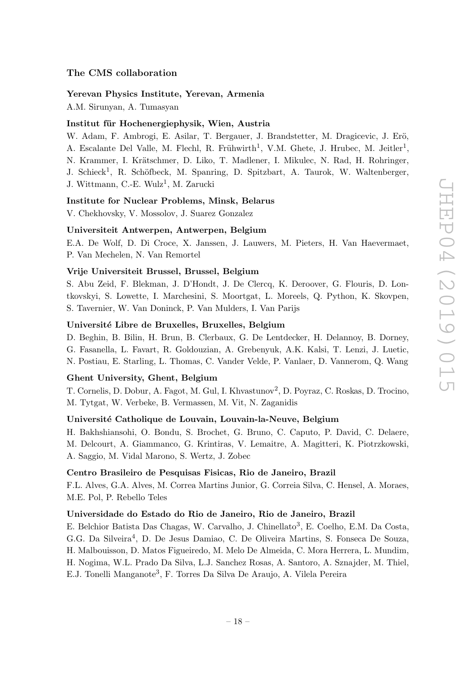#### The CMS collaboration

#### <span id="page-18-0"></span>Yerevan Physics Institute, Yerevan, Armenia

A.M. Sirunyan, A. Tumasyan

#### Institut für Hochenergiephysik, Wien, Austria

W. Adam, F. Ambrogi, E. Asilar, T. Bergauer, J. Brandstetter, M. Dragicevic, J. Erö,

A. Escalante Del Valle, M. Flechl, R. Frühwirth<sup>1</sup>, V.M. Ghete, J. Hrubec, M. Jeitler<sup>1</sup>,

N. Krammer, I. Krätschmer, D. Liko, T. Madlener, I. Mikulec, N. Rad, H. Rohringer,

J. Schieck<sup>1</sup>, R. Schöfbeck, M. Spanring, D. Spitzbart, A. Taurok, W. Waltenberger,

J. Wittmann, C.-E. Wulz<sup>1</sup>, M. Zarucki

#### Institute for Nuclear Problems, Minsk, Belarus

V. Chekhovsky, V. Mossolov, J. Suarez Gonzalez

#### Universiteit Antwerpen, Antwerpen, Belgium

E.A. De Wolf, D. Di Croce, X. Janssen, J. Lauwers, M. Pieters, H. Van Haevermaet, P. Van Mechelen, N. Van Remortel

#### Vrije Universiteit Brussel, Brussel, Belgium

S. Abu Zeid, F. Blekman, J. D'Hondt, J. De Clercq, K. Deroover, G. Flouris, D. Lontkovskyi, S. Lowette, I. Marchesini, S. Moortgat, L. Moreels, Q. Python, K. Skovpen, S. Tavernier, W. Van Doninck, P. Van Mulders, I. Van Parijs

#### Universit´e Libre de Bruxelles, Bruxelles, Belgium

D. Beghin, B. Bilin, H. Brun, B. Clerbaux, G. De Lentdecker, H. Delannoy, B. Dorney, G. Fasanella, L. Favart, R. Goldouzian, A. Grebenyuk, A.K. Kalsi, T. Lenzi, J. Luetic,

N. Postiau, E. Starling, L. Thomas, C. Vander Velde, P. Vanlaer, D. Vannerom, Q. Wang

#### Ghent University, Ghent, Belgium

T. Cornelis, D. Dobur, A. Fagot, M. Gul, I. Khvastunov<sup>2</sup>, D. Poyraz, C. Roskas, D. Trocino, M. Tytgat, W. Verbeke, B. Vermassen, M. Vit, N. Zaganidis

#### Université Catholique de Louvain, Louvain-la-Neuve, Belgium

H. Bakhshiansohi, O. Bondu, S. Brochet, G. Bruno, C. Caputo, P. David, C. Delaere, M. Delcourt, A. Giammanco, G. Krintiras, V. Lemaitre, A. Magitteri, K. Piotrzkowski, A. Saggio, M. Vidal Marono, S. Wertz, J. Zobec

#### Centro Brasileiro de Pesquisas Fisicas, Rio de Janeiro, Brazil

F.L. Alves, G.A. Alves, M. Correa Martins Junior, G. Correia Silva, C. Hensel, A. Moraes, M.E. Pol, P. Rebello Teles

#### Universidade do Estado do Rio de Janeiro, Rio de Janeiro, Brazil

E. Belchior Batista Das Chagas, W. Carvalho, J. Chinellato<sup>3</sup>, E. Coelho, E.M. Da Costa, G.G. Da Silveira<sup>4</sup>, D. De Jesus Damiao, C. De Oliveira Martins, S. Fonseca De Souza, H. Malbouisson, D. Matos Figueiredo, M. Melo De Almeida, C. Mora Herrera, L. Mundim, H. Nogima, W.L. Prado Da Silva, L.J. Sanchez Rosas, A. Santoro, A. Sznajder, M. Thiel, E.J. Tonelli Manganote<sup>3</sup>, F. Torres Da Silva De Araujo, A. Vilela Pereira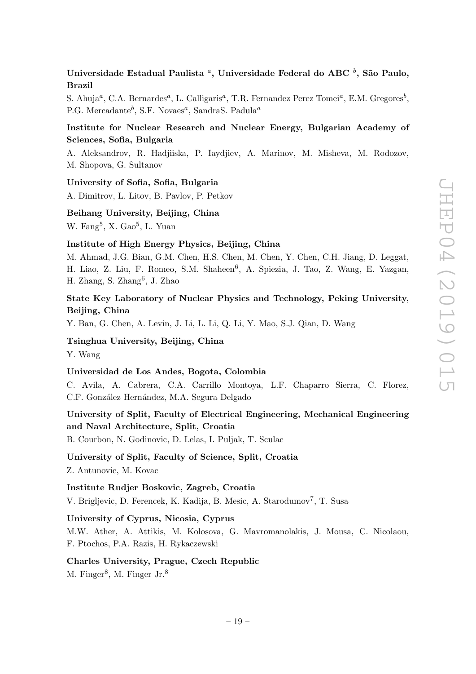# Universidade Estadual Paulista <sup>a</sup>, Universidade Federal do ABC  $^b$ , São Paulo, Brazil

S. Ahuja<sup>a</sup>, C.A. Bernardes<sup>a</sup>, L. Calligaris<sup>a</sup>, T.R. Fernandez Perez Tomei<sup>a</sup>, E.M. Gregores<sup>b</sup>, P.G. Mercadante<sup>b</sup>, S.F. Novaes<sup>a</sup>, SandraS. Padula<sup>a</sup>

# Institute for Nuclear Research and Nuclear Energy, Bulgarian Academy of Sciences, Sofia, Bulgaria

A. Aleksandrov, R. Hadjiiska, P. Iaydjiev, A. Marinov, M. Misheva, M. Rodozov, M. Shopova, G. Sultanov

#### University of Sofia, Sofia, Bulgaria

A. Dimitrov, L. Litov, B. Pavlov, P. Petkov

# Beihang University, Beijing, China

W. Fang<sup>5</sup>, X. Gao<sup>5</sup>, L. Yuan

#### Institute of High Energy Physics, Beijing, China

M. Ahmad, J.G. Bian, G.M. Chen, H.S. Chen, M. Chen, Y. Chen, C.H. Jiang, D. Leggat, H. Liao, Z. Liu, F. Romeo, S.M. Shaheen<sup>6</sup>, A. Spiezia, J. Tao, Z. Wang, E. Yazgan, H. Zhang, S. Zhang<sup>6</sup>, J. Zhao

# State Key Laboratory of Nuclear Physics and Technology, Peking University, Beijing, China

Y. Ban, G. Chen, A. Levin, J. Li, L. Li, Q. Li, Y. Mao, S.J. Qian, D. Wang

Tsinghua University, Beijing, China

Y. Wang

#### Universidad de Los Andes, Bogota, Colombia

C. Avila, A. Cabrera, C.A. Carrillo Montoya, L.F. Chaparro Sierra, C. Florez, C.F. González Hernández, M.A. Segura Delgado

# University of Split, Faculty of Electrical Engineering, Mechanical Engineering and Naval Architecture, Split, Croatia

B. Courbon, N. Godinovic, D. Lelas, I. Puljak, T. Sculac

#### University of Split, Faculty of Science, Split, Croatia

Z. Antunovic, M. Kovac

#### Institute Rudjer Boskovic, Zagreb, Croatia

V. Brigljevic, D. Ferencek, K. Kadija, B. Mesic, A. Starodumov<sup>7</sup>, T. Susa

#### University of Cyprus, Nicosia, Cyprus

M.W. Ather, A. Attikis, M. Kolosova, G. Mavromanolakis, J. Mousa, C. Nicolaou, F. Ptochos, P.A. Razis, H. Rykaczewski

#### Charles University, Prague, Czech Republic

M. Finger<sup>8</sup>, M. Finger  $Jr.^8$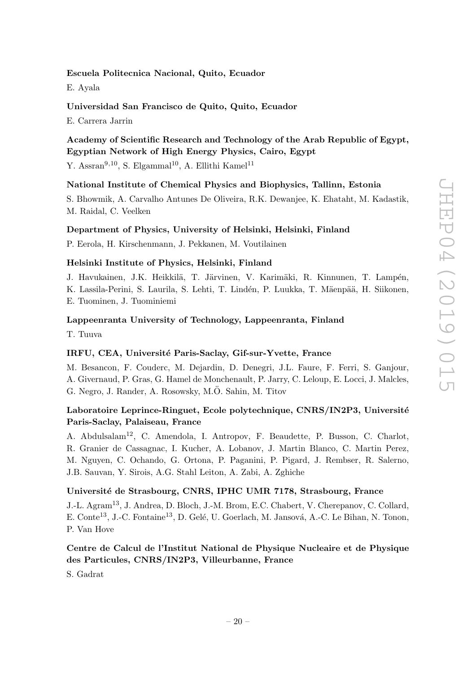#### Escuela Politecnica Nacional, Quito, Ecuador

E. Ayala

#### Universidad San Francisco de Quito, Quito, Ecuador

E. Carrera Jarrin

# Academy of Scientific Research and Technology of the Arab Republic of Egypt, Egyptian Network of High Energy Physics, Cairo, Egypt

Y. Assran<sup>9,10</sup>, S. Elgammal<sup>10</sup>, A. Ellithi Kamel<sup>11</sup>

#### National Institute of Chemical Physics and Biophysics, Tallinn, Estonia

S. Bhowmik, A. Carvalho Antunes De Oliveira, R.K. Dewanjee, K. Ehataht, M. Kadastik, M. Raidal, C. Veelken

#### Department of Physics, University of Helsinki, Helsinki, Finland

P. Eerola, H. Kirschenmann, J. Pekkanen, M. Voutilainen

#### Helsinki Institute of Physics, Helsinki, Finland

J. Havukainen, J.K. Heikkilä, T. Järvinen, V. Karimäki, R. Kinnunen, T. Lampén, K. Lassila-Perini, S. Laurila, S. Lehti, T. Lindén, P. Luukka, T. Mäenpää, H. Siikonen, E. Tuominen, J. Tuominiemi

#### Lappeenranta University of Technology, Lappeenranta, Finland

T. Tuuva

#### IRFU, CEA, Université Paris-Saclay, Gif-sur-Yvette, France

M. Besancon, F. Couderc, M. Dejardin, D. Denegri, J.L. Faure, F. Ferri, S. Ganjour, A. Givernaud, P. Gras, G. Hamel de Monchenault, P. Jarry, C. Leloup, E. Locci, J. Malcles, G. Negro, J. Rander, A. Rosowsky, M.Ö. Sahin, M. Titov

# Laboratoire Leprince-Ringuet, Ecole polytechnique, CNRS/IN2P3, Université Paris-Saclay, Palaiseau, France

A. Abdulsalam12, C. Amendola, I. Antropov, F. Beaudette, P. Busson, C. Charlot, R. Granier de Cassagnac, I. Kucher, A. Lobanov, J. Martin Blanco, C. Martin Perez, M. Nguyen, C. Ochando, G. Ortona, P. Paganini, P. Pigard, J. Rembser, R. Salerno, J.B. Sauvan, Y. Sirois, A.G. Stahl Leiton, A. Zabi, A. Zghiche

#### Universit´e de Strasbourg, CNRS, IPHC UMR 7178, Strasbourg, France

J.-L. Agram<sup>13</sup>, J. Andrea, D. Bloch, J.-M. Brom, E.C. Chabert, V. Cherepanov, C. Collard, E. Conte<sup>13</sup>, J.-C. Fontaine<sup>13</sup>, D. Gelé, U. Goerlach, M. Jansová, A.-C. Le Bihan, N. Tonon, P. Van Hove

# Centre de Calcul de l'Institut National de Physique Nucleaire et de Physique des Particules, CNRS/IN2P3, Villeurbanne, France

S. Gadrat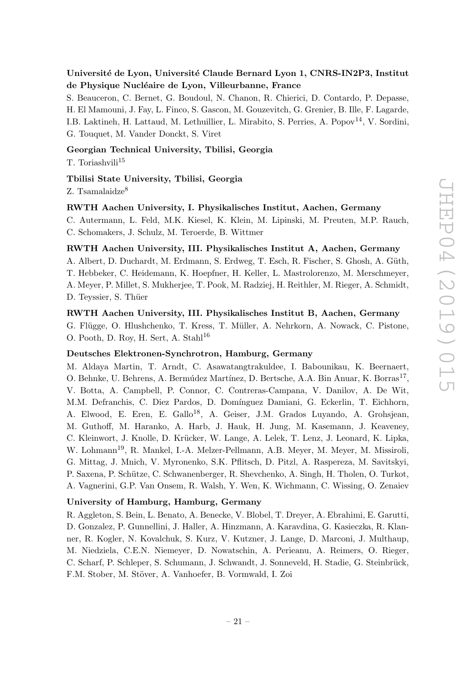# Université de Lyon, Université Claude Bernard Lyon 1, CNRS-IN2P3, Institut de Physique Nucléaire de Lyon, Villeurbanne, France

S. Beauceron, C. Bernet, G. Boudoul, N. Chanon, R. Chierici, D. Contardo, P. Depasse, H. El Mamouni, J. Fay, L. Finco, S. Gascon, M. Gouzevitch, G. Grenier, B. Ille, F. Lagarde, I.B. Laktineh, H. Lattaud, M. Lethuillier, L. Mirabito, S. Perries, A. Popov<sup>14</sup>, V. Sordini, G. Touquet, M. Vander Donckt, S. Viret

#### Georgian Technical University, Tbilisi, Georgia

T. Toriashvili<sup>15</sup>

# Tbilisi State University, Tbilisi, Georgia

Z. Tsamalaidze<sup>8</sup>

#### RWTH Aachen University, I. Physikalisches Institut, Aachen, Germany

C. Autermann, L. Feld, M.K. Kiesel, K. Klein, M. Lipinski, M. Preuten, M.P. Rauch, C. Schomakers, J. Schulz, M. Teroerde, B. Wittmer

#### RWTH Aachen University, III. Physikalisches Institut A, Aachen, Germany

A. Albert, D. Duchardt, M. Erdmann, S. Erdweg, T. Esch, R. Fischer, S. Ghosh, A. Güth, T. Hebbeker, C. Heidemann, K. Hoepfner, H. Keller, L. Mastrolorenzo, M. Merschmeyer, A. Meyer, P. Millet, S. Mukherjee, T. Pook, M. Radziej, H. Reithler, M. Rieger, A. Schmidt, D. Teyssier, S. Thüer

#### RWTH Aachen University, III. Physikalisches Institut B, Aachen, Germany

G. Flügge, O. Hlushchenko, T. Kress, T. Müller, A. Nehrkorn, A. Nowack, C. Pistone, O. Pooth, D. Roy, H. Sert, A. Stahl<sup>16</sup>

#### Deutsches Elektronen-Synchrotron, Hamburg, Germany

M. Aldaya Martin, T. Arndt, C. Asawatangtrakuldee, I. Babounikau, K. Beernaert, O. Behnke, U. Behrens, A. Bermúdez Martínez, D. Bertsche, A.A. Bin Anuar, K. Borras<sup>17</sup>, V. Botta, A. Campbell, P. Connor, C. Contreras-Campana, V. Danilov, A. De Wit, M.M. Defranchis, C. Diez Pardos, D. Dom´ınguez Damiani, G. Eckerlin, T. Eichhorn, A. Elwood, E. Eren, E. Gallo<sup>18</sup>, A. Geiser, J.M. Grados Luyando, A. Grohsjean, M. Guthoff, M. Haranko, A. Harb, J. Hauk, H. Jung, M. Kasemann, J. Keaveney, C. Kleinwort, J. Knolle, D. Krücker, W. Lange, A. Lelek, T. Lenz, J. Leonard, K. Lipka, W. Lohmann<sup>19</sup>, R. Mankel, I.-A. Melzer-Pellmann, A.B. Meyer, M. Meyer, M. Missiroli, G. Mittag, J. Mnich, V. Myronenko, S.K. Pflitsch, D. Pitzl, A. Raspereza, M. Savitskyi, P. Saxena, P. Schütze, C. Schwanenberger, R. Shevchenko, A. Singh, H. Tholen, O. Turkot, A. Vagnerini, G.P. Van Onsem, R. Walsh, Y. Wen, K. Wichmann, C. Wissing, O. Zenaiev

#### University of Hamburg, Hamburg, Germany

R. Aggleton, S. Bein, L. Benato, A. Benecke, V. Blobel, T. Dreyer, A. Ebrahimi, E. Garutti, D. Gonzalez, P. Gunnellini, J. Haller, A. Hinzmann, A. Karavdina, G. Kasieczka, R. Klanner, R. Kogler, N. Kovalchuk, S. Kurz, V. Kutzner, J. Lange, D. Marconi, J. Multhaup, M. Niedziela, C.E.N. Niemeyer, D. Nowatschin, A. Perieanu, A. Reimers, O. Rieger, C. Scharf, P. Schleper, S. Schumann, J. Schwandt, J. Sonneveld, H. Stadie, G. Steinbrück, F.M. Stober, M. Stöver, A. Vanhoefer, B. Vormwald, I. Zoi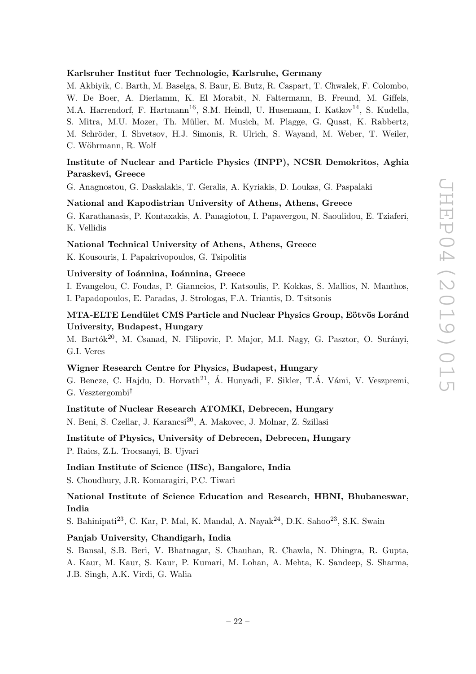#### Karlsruher Institut fuer Technologie, Karlsruhe, Germany

M. Akbiyik, C. Barth, M. Baselga, S. Baur, E. Butz, R. Caspart, T. Chwalek, F. Colombo, W. De Boer, A. Dierlamm, K. El Morabit, N. Faltermann, B. Freund, M. Giffels, M.A. Harrendorf, F. Hartmann<sup>16</sup>, S.M. Heindl, U. Husemann, I. Katkov<sup>14</sup>, S. Kudella, S. Mitra, M.U. Mozer, Th. Müller, M. Musich, M. Plagge, G. Quast, K. Rabbertz, M. Schröder, I. Shvetsov, H.J. Simonis, R. Ulrich, S. Wayand, M. Weber, T. Weiler, C. Wöhrmann, R. Wolf

# Institute of Nuclear and Particle Physics (INPP), NCSR Demokritos, Aghia Paraskevi, Greece

G. Anagnostou, G. Daskalakis, T. Geralis, A. Kyriakis, D. Loukas, G. Paspalaki

#### National and Kapodistrian University of Athens, Athens, Greece

G. Karathanasis, P. Kontaxakis, A. Panagiotou, I. Papavergou, N. Saoulidou, E. Tziaferi, K. Vellidis

# National Technical University of Athens, Athens, Greece

K. Kousouris, I. Papakrivopoulos, G. Tsipolitis

#### University of Ioánnina, Ioánnina, Greece

I. Evangelou, C. Foudas, P. Gianneios, P. Katsoulis, P. Kokkas, S. Mallios, N. Manthos, I. Papadopoulos, E. Paradas, J. Strologas, F.A. Triantis, D. Tsitsonis

# MTA-ELTE Lendület CMS Particle and Nuclear Physics Group, Eötvös Loránd University, Budapest, Hungary

M. Bartók<sup>20</sup>, M. Csanad, N. Filipovic, P. Major, M.I. Nagy, G. Pasztor, O. Surányi, G.I. Veres

#### Wigner Research Centre for Physics, Budapest, Hungary

G. Bencze, C. Hajdu, D. Horvath<sup>21</sup>, Á. Hunyadi, F. Sikler, T.Á. Vámi, V. Veszpremi, G. Vesztergombi†

# Institute of Nuclear Research ATOMKI, Debrecen, Hungary

N. Beni, S. Czellar, J. Karancsi<sup>20</sup>, A. Makovec, J. Molnar, Z. Szillasi

Institute of Physics, University of Debrecen, Debrecen, Hungary P. Raics, Z.L. Trocsanyi, B. Ujvari

#### Indian Institute of Science (IISc), Bangalore, India

S. Choudhury, J.R. Komaragiri, P.C. Tiwari

# National Institute of Science Education and Research, HBNI, Bhubaneswar, India

S. Bahinipati<sup>23</sup>, C. Kar, P. Mal, K. Mandal, A. Nayak<sup>24</sup>, D.K. Sahoo<sup>23</sup>, S.K. Swain

#### Panjab University, Chandigarh, India

S. Bansal, S.B. Beri, V. Bhatnagar, S. Chauhan, R. Chawla, N. Dhingra, R. Gupta, A. Kaur, M. Kaur, S. Kaur, P. Kumari, M. Lohan, A. Mehta, K. Sandeep, S. Sharma, J.B. Singh, A.K. Virdi, G. Walia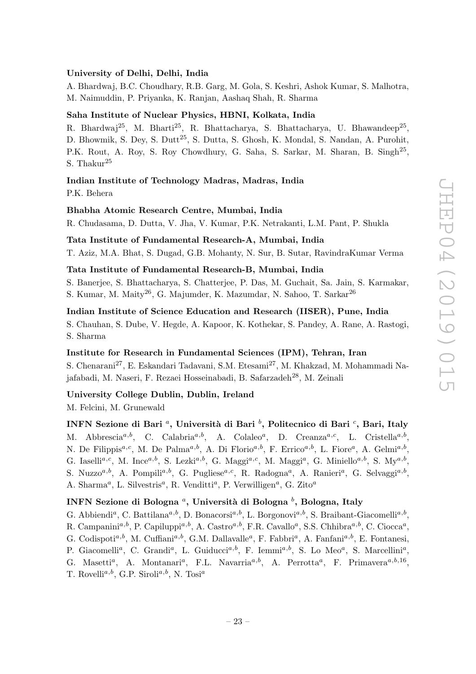#### University of Delhi, Delhi, India

A. Bhardwaj, B.C. Choudhary, R.B. Garg, M. Gola, S. Keshri, Ashok Kumar, S. Malhotra, M. Naimuddin, P. Priyanka, K. Ranjan, Aashaq Shah, R. Sharma

#### Saha Institute of Nuclear Physics, HBNI, Kolkata, India

R. Bhardwaj<sup>25</sup>, M. Bharti<sup>25</sup>, R. Bhattacharya, S. Bhattacharya, U. Bhawandeep<sup>25</sup>, D. Bhowmik, S. Dey, S. Dutt<sup>25</sup>, S. Dutta, S. Ghosh, K. Mondal, S. Nandan, A. Purohit, P.K. Rout, A. Roy, S. Roy Chowdhury, G. Saha, S. Sarkar, M. Sharan, B. Singh<sup>25</sup>, S. Thakur<sup>25</sup>

# Indian Institute of Technology Madras, Madras, India

P.K. Behera

#### Bhabha Atomic Research Centre, Mumbai, India

R. Chudasama, D. Dutta, V. Jha, V. Kumar, P.K. Netrakanti, L.M. Pant, P. Shukla

#### Tata Institute of Fundamental Research-A, Mumbai, India

T. Aziz, M.A. Bhat, S. Dugad, G.B. Mohanty, N. Sur, B. Sutar, RavindraKumar Verma

#### Tata Institute of Fundamental Research-B, Mumbai, India

S. Banerjee, S. Bhattacharya, S. Chatterjee, P. Das, M. Guchait, Sa. Jain, S. Karmakar, S. Kumar, M. Maity26, G. Majumder, K. Mazumdar, N. Sahoo, T. Sarkar<sup>26</sup>

#### Indian Institute of Science Education and Research (IISER), Pune, India

S. Chauhan, S. Dube, V. Hegde, A. Kapoor, K. Kothekar, S. Pandey, A. Rane, A. Rastogi, S. Sharma

#### Institute for Research in Fundamental Sciences (IPM), Tehran, Iran

S. Chenarani<sup>27</sup>, E. Eskandari Tadavani, S.M. Etesami<sup>27</sup>, M. Khakzad, M. Mohammadi Najafabadi, M. Naseri, F. Rezaei Hosseinabadi, B. Safarzadeh<sup>28</sup>, M. Zeinali

#### University College Dublin, Dublin, Ireland

M. Felcini, M. Grunewald

# INFN Sezione di Bari <sup>a</sup>, Università di Bari  $^b$ , Politecnico di Bari  $^c$ , Bari, Italy

M. Abbrescia<sup>a,b</sup>, C. Calabria<sup>a,b</sup>, A. Colaleo<sup>a</sup>, D. Creanza<sup>a,c</sup>, L. Cristella<sup>a,b</sup>, N. De Filippis<sup>a,c</sup>, M. De Palma<sup>a,b</sup>, A. Di Florio<sup>a,b</sup>, F. Errico<sup>a,b</sup>, L. Fiore<sup>a</sup>, A. Gelmi<sup>a,b</sup>, G. Iaselli<sup>a,c</sup>, M. Ince<sup>a,b</sup>, S. Lezki<sup>a,b</sup>, G. Maggi<sup>a,c</sup>, M. Maggi<sup>a</sup>, G. Miniello<sup>a,b</sup>, S. My<sup>a,b</sup>, S. Nuzzo<sup>a,b</sup>, A. Pompili<sup>a,b</sup>, G. Pugliese<sup>a,c</sup>, R. Radogna<sup>a</sup>, A. Ranieri<sup>a</sup>, G. Selvaggi<sup>a,b</sup>, A. Sharma<sup>a</sup>, L. Silvestris<sup>a</sup>, R. Venditti<sup>a</sup>, P. Verwilligen<sup>a</sup>, G. Zito<sup>a</sup>

# INFN Sezione di Bologna  $^a,$  Università di Bologna  $^b,$  Bologna, Italy

G. Abbiendi<sup>a</sup>, C. Battilana<sup>a,b</sup>, D. Bonacorsi<sup>a,b</sup>, L. Borgonovi<sup>a,b</sup>, S. Braibant-Giacomelli<sup>a,b</sup>, R. Campanini<sup>a,b</sup>, P. Capiluppi<sup>a,b</sup>, A. Castro<sup>a,b</sup>, F.R. Cavallo<sup>a</sup>, S.S. Chhibra<sup>a,b</sup>, C. Ciocca<sup>a</sup>, G. Codispoti<sup>a,b</sup>, M. Cuffiani<sup>a,b</sup>, G.M. Dallavalle<sup>a</sup>, F. Fabbri<sup>a</sup>, A. Fanfani<sup>a,b</sup>, E. Fontanesi, P. Giacomelli<sup>a</sup>, C. Grandi<sup>a</sup>, L. Guiducci<sup>a,b</sup>, F. Iemmi<sup>a,b</sup>, S. Lo Meo<sup>a</sup>, S. Marcellini<sup>a</sup>, G. Masetti<sup>a</sup>, A. Montanari<sup>a</sup>, F.L. Navarria<sup>a,b</sup>, A. Perrotta<sup>a</sup>, F. Primavera<sup>a,b,16</sup>, T. Rovelli<sup>a,b</sup>, G.P. Siroli<sup>a,b</sup>, N. Tosi<sup>a</sup>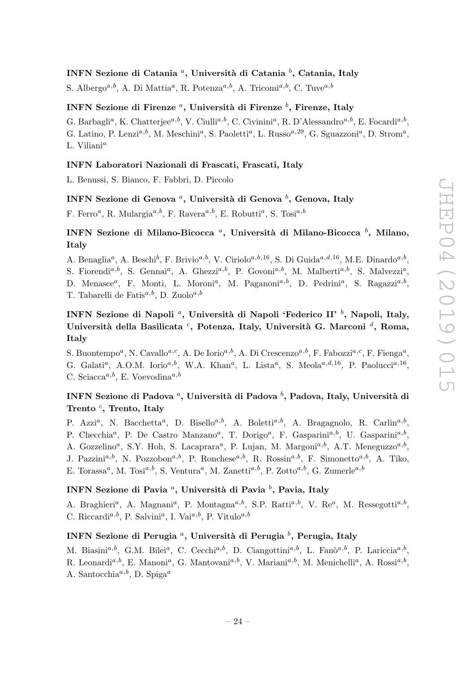# INFN Sezione di Catania <sup>a</sup>, Università di Catania  $^b,$  Catania, Italy

S. Albergo<sup>a,b</sup>, A. Di Mattia<sup>a</sup>, R. Potenza<sup>a,b</sup>, A. Tricomi<sup>a,b</sup>, C. Tuve<sup>a,b</sup>

# INFN Sezione di Firenze  $^a,$  Università di Firenze  $^b,$  Firenze, Italy

G. Barbagli<sup>a</sup>, K. Chatterjee<sup>a,b</sup>, V. Ciulli<sup>a,b</sup>, C. Civinini<sup>a</sup>, R. D'Alessandro<sup>a,b</sup>, E. Focardi<sup>a,b</sup>,

G. Latino, P. Lenzi<sup>a,b</sup>, M. Meschini<sup>a</sup>, S. Paoletti<sup>a</sup>, L. Russo<sup>a, 29</sup>, G. Sguazzoni<sup>a</sup>, D. Strom<sup>a</sup>,

L. Viliani<sup>a</sup>

#### INFN Laboratori Nazionali di Frascati, Frascati, Italy

L. Benussi, S. Bianco, F. Fabbri, D. Piccolo

# INFN Sezione di Genova <sup>a</sup>, Università di Genova  $^b,$  Genova, Italy

F. Ferro<sup>a</sup>, R. Mulargia<sup>a,b</sup>, F. Ravera<sup>a,b</sup>, E. Robutti<sup>a</sup>, S. Tosi<sup>a,b</sup>

# INFN Sezione di Milano-Bicocca <sup>a</sup>, Università di Milano-Bicocca <sup>b</sup>, Milano, Italy

A. Benaglia<sup>a</sup>, A. Beschi<sup>b</sup>, F. Brivio<sup>a,b</sup>, V. Ciriolo<sup>a,b,16</sup>, S. Di Guida<sup>a,d,16</sup>, M.E. Dinardo<sup>a,b</sup>, S. Fiorendi<sup>a,b</sup>, S. Gennai<sup>a</sup>, A. Ghezzi<sup>a,b</sup>, P. Govoni<sup>a,b</sup>, M. Malberti<sup>a,b</sup>, S. Malvezzi<sup>a</sup>, D. Menasce<sup>a</sup>, F. Monti, L. Moroni<sup>a</sup>, M. Paganoni<sup>a,b</sup>, D. Pedrini<sup>a</sup>, S. Ragazzi<sup>a,b</sup>, T. Tabarelli de Fatis<sup>a,b</sup>, D. Zuolo<sup>a,b</sup>

# INFN Sezione di Napoli <sup>a</sup>, Università di Napoli 'Federico II'  $^b$ , Napoli, Italy, Università della Basilicata  $^c$ , Potenza, Italy, Università G. Marconi  $^d$ , Roma, Italy

S. Buontempo<sup>a</sup>, N. Cavallo<sup>a,c</sup>, A. De Iorio<sup>a,b</sup>, A. Di Crescenzo<sup>a,b</sup>, F. Fabozzi<sup>a,c</sup>, F. Fienga<sup>a</sup>, G. Galati<sup>a</sup>, A.O.M. Iorio<sup>a,b</sup>, W.A. Khan<sup>a</sup>, L. Lista<sup>a</sup>, S. Meola<sup>a,d,16</sup>, P. Paolucci<sup>a,16</sup>, C. Sciacca<sup>a,b</sup>, E. Voevodina<sup>a,b</sup>

# INFN Sezione di Padova  $^a$ , Università di Padova  $^b$ , Padova, Italy, Università di Trento  $^c$ , Trento, Italy

P. Azzi<sup>a</sup>, N. Bacchetta<sup>a</sup>, D. Bisello<sup>a,b</sup>, A. Boletti<sup>a,b</sup>, A. Bragagnolo, R. Carlin<sup>a,b</sup>, P. Checchia<sup>a</sup>, P. De Castro Manzano<sup>a</sup>, T. Dorigo<sup>a</sup>, F. Gasparini<sup>a,b</sup>, U. Gasparini<sup>a,b</sup>, A. Gozzelino<sup>a</sup>, S.Y. Hoh, S. Lacaprara<sup>a</sup>, P. Lujan, M. Margoni<sup>a,b</sup>, A.T. Meneguzzo<sup>a,b</sup>, J. Pazzini<sup>a,b</sup>, N. Pozzobon<sup>a,b</sup>, P. Ronchese<sup>a,b</sup>, R. Rossin<sup>a,b</sup>, F. Simonetto<sup>a,b</sup>, A. Tiko, E. Torassa<sup>a</sup>, M. Tosi<sup>a,b</sup>, S. Ventura<sup>a</sup>, M. Zanetti<sup>a,b</sup>, P. Zotto<sup>a,b</sup>, G. Zumerle<sup>a,b</sup>

# INFN Sezione di Pavia  $^a,$  Università di Pavia  $^b,$  Pavia, Italy

A. Braghieri<sup>a</sup>, A. Magnani<sup>a</sup>, P. Montagna<sup>a,b</sup>, S.P. Ratti<sup>a,b</sup>, V. Re<sup>a</sup>, M. Ressegotti<sup>a,b</sup>, C. Riccardi<sup>a,b</sup>, P. Salvini<sup>a</sup>, I. Vai<sup>a,b</sup>, P. Vitulo<sup>a,b</sup>

# INFN Sezione di Perugia <sup>a</sup>, Università di Perugia  $^b$ , Perugia, Italy

M. Biasini<sup>a,b</sup>, G.M. Bilei<sup>a</sup>, C. Cecchi<sup>a,b</sup>, D. Ciangottini<sup>a,b</sup>, L. Fanò<sup>a,b</sup>, P. Lariccia<sup>a,b</sup>, R. Leonardi<sup>a, b</sup>, E. Manoni<sup>a</sup>, G. Mantovani<sup>a, b</sup>, V. Mariani<sup>a, b</sup>, M. Menichelli<sup>a</sup>, A. Rossi<sup>a, b</sup>, A. Santocchia<sup>a,b</sup>, D. Spiga<sup>a</sup>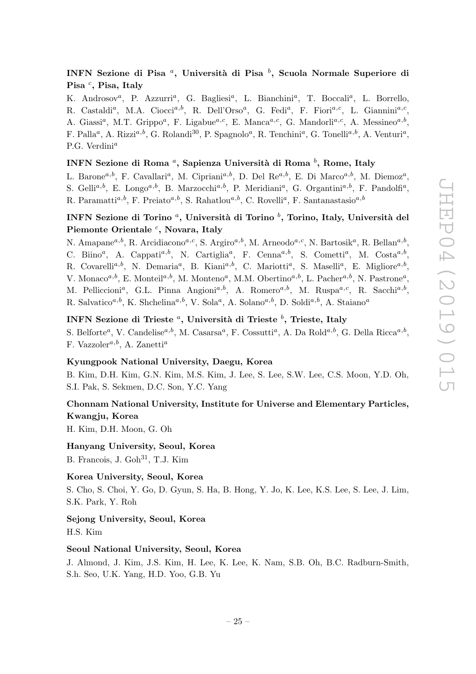# INFN Sezione di Pisa <sup>a</sup>, Università di Pisa <sup>b</sup>, Scuola Normale Superiore di Pisa <sup>c</sup>, Pisa, Italy

K. Androsov<sup>a</sup>, P. Azzurri<sup>a</sup>, G. Bagliesi<sup>a</sup>, L. Bianchini<sup>a</sup>, T. Boccali<sup>a</sup>, L. Borrello, R. Castaldi<sup>a</sup>, M.A. Ciocci<sup>a,b</sup>, R. Dell'Orso<sup>a</sup>, G. Fedi<sup>a</sup>, F. Fiori<sup>a,c</sup>, L. Giannini<sup>a,c</sup>, A. Giassi<sup>a</sup>, M.T. Grippo<sup>a</sup>, F. Ligabue<sup>a,c</sup>, E. Manca<sup>a,c</sup>, G. Mandorli<sup>a,c</sup>, A. Messineo<sup>a,b</sup>, F. Palla<sup>a</sup>, A. Rizzi<sup>a,b</sup>, G. Rolandi<sup>30</sup>, P. Spagnolo<sup>a</sup>, R. Tenchini<sup>a</sup>, G. Tonelli<sup>a,b</sup>, A. Venturi<sup>a</sup>, P.G. Verdini $^a$ 

# INFN Sezione di Roma <sup>a</sup>, Sapienza Università di Roma  $^b$ , Rome, Italy

L. Barone<sup>a,b</sup>, F. Cavallari<sup>a</sup>, M. Cipriani<sup>a,b</sup>, D. Del Re<sup>a,b</sup>, E. Di Marco<sup>a,b</sup>, M. Diemoz<sup>a</sup>, S. Gelli<sup>a,b</sup>, E. Longo<sup>a,b</sup>, B. Marzocchi<sup>a,b</sup>, P. Meridiani<sup>a</sup>, G. Organtini<sup>a,b</sup>, F. Pandolfi<sup>a</sup>, R. Paramatti<sup>a,b</sup>, F. Preiato<sup>a,b</sup>, S. Rahatlou<sup>a,b</sup>, C. Rovelli<sup>a</sup>, F. Santanastasio<sup>a,b</sup>

# INFN Sezione di Torino <sup>a</sup>, Università di Torino <sup>b</sup>, Torino, Italy, Università del Piemonte Orientale  $^c$ , Novara, Italy

N. Amapane<sup>a,b</sup>, R. Arcidiacono<sup>a,c</sup>, S. Argiro<sup>a,b</sup>, M. Arneodo<sup>a,c</sup>, N. Bartosik<sup>a</sup>, R. Bellan<sup>a,b</sup>, C. Biino<sup>a</sup>, A. Cappati<sup>a,b</sup>, N. Cartiglia<sup>a</sup>, F. Cenna<sup>a,b</sup>, S. Cometti<sup>a</sup>, M. Costa<sup>a,b</sup>, R. Covarelli<sup>a,b</sup>, N. Demaria<sup>a</sup>, B. Kiani<sup>a,b</sup>, C. Mariotti<sup>a</sup>, S. Maselli<sup>a</sup>, E. Migliore<sup>a,b</sup>, V. Monaco<sup>a,b</sup>, E. Monteil<sup>a,b</sup>, M. Monteno<sup>a</sup>, M.M. Obertino<sup>a,b</sup>, L. Pacher<sup>a,b</sup>, N. Pastrone<sup>a</sup>, M. Pelliccioni<sup>a</sup>, G.L. Pinna Angioni<sup>a,b</sup>, A. Romero<sup>a,b</sup>, M. Ruspa<sup>a,c</sup>, R. Sacchi<sup>a,b</sup>, R. Salvatico<sup>a,b</sup>, K. Shchelina<sup>a,b</sup>, V. Sola<sup>a</sup>, A. Solano<sup>a,b</sup>, D. Soldi<sup>a,b</sup>, A. Staiano<sup>a</sup>

# INFN Sezione di Trieste <sup>a</sup>, Università di Trieste  $^b$ , Trieste, Italy

S. Belforte<sup>a</sup>, V. Candelise<sup>a,b</sup>, M. Casarsa<sup>a</sup>, F. Cossutti<sup>a</sup>, A. Da Rold<sup>a,b</sup>, G. Della Ricca<sup>a,b</sup>, F. Vazzoler<sup>a,b</sup>, A. Zanetti<sup>a</sup>

# Kyungpook National University, Daegu, Korea

B. Kim, D.H. Kim, G.N. Kim, M.S. Kim, J. Lee, S. Lee, S.W. Lee, C.S. Moon, Y.D. Oh, S.I. Pak, S. Sekmen, D.C. Son, Y.C. Yang

# Chonnam National University, Institute for Universe and Elementary Particles, Kwangju, Korea

H. Kim, D.H. Moon, G. Oh

#### Hanyang University, Seoul, Korea

B. Francois, J. Goh<sup>31</sup>, T.J. Kim

#### Korea University, Seoul, Korea

S. Cho, S. Choi, Y. Go, D. Gyun, S. Ha, B. Hong, Y. Jo, K. Lee, K.S. Lee, S. Lee, J. Lim, S.K. Park, Y. Roh

Sejong University, Seoul, Korea H.S. Kim

#### Seoul National University, Seoul, Korea

J. Almond, J. Kim, J.S. Kim, H. Lee, K. Lee, K. Nam, S.B. Oh, B.C. Radburn-Smith, S.h. Seo, U.K. Yang, H.D. Yoo, G.B. Yu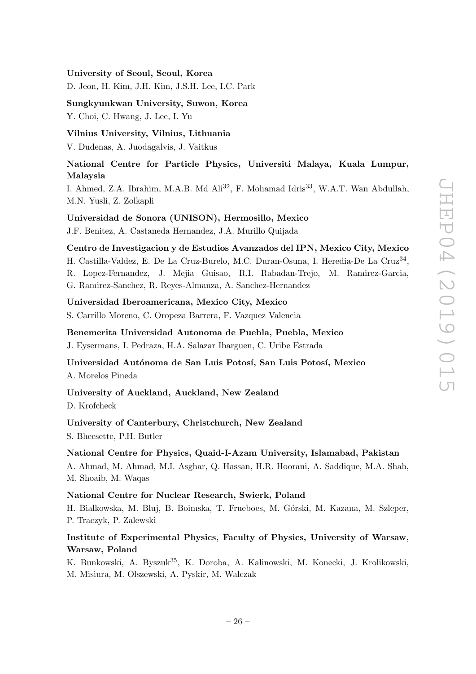#### University of Seoul, Seoul, Korea

D. Jeon, H. Kim, J.H. Kim, J.S.H. Lee, I.C. Park

Sungkyunkwan University, Suwon, Korea Y. Choi, C. Hwang, J. Lee, I. Yu

Vilnius University, Vilnius, Lithuania

V. Dudenas, A. Juodagalvis, J. Vaitkus

# National Centre for Particle Physics, Universiti Malaya, Kuala Lumpur, Malaysia

I. Ahmed, Z.A. Ibrahim, M.A.B. Md Ali<sup>32</sup>, F. Mohamad Idris<sup>33</sup>, W.A.T. Wan Abdullah, M.N. Yusli, Z. Zolkapli

#### Universidad de Sonora (UNISON), Hermosillo, Mexico

J.F. Benitez, A. Castaneda Hernandez, J.A. Murillo Quijada

# Centro de Investigacion y de Estudios Avanzados del IPN, Mexico City, Mexico H. Castilla-Valdez, E. De La Cruz-Burelo, M.C. Duran-Osuna, I. Heredia-De La Cruz<sup>34</sup>, R. Lopez-Fernandez, J. Mejia Guisao, R.I. Rabadan-Trejo, M. Ramirez-Garcia, G. Ramirez-Sanchez, R. Reyes-Almanza, A. Sanchez-Hernandez

#### Universidad Iberoamericana, Mexico City, Mexico

S. Carrillo Moreno, C. Oropeza Barrera, F. Vazquez Valencia

# Benemerita Universidad Autonoma de Puebla, Puebla, Mexico J. Eysermans, I. Pedraza, H.A. Salazar Ibarguen, C. Uribe Estrada

# Universidad Autónoma de San Luis Potosí, San Luis Potosí, Mexico A. Morelos Pineda

# University of Auckland, Auckland, New Zealand

D. Krofcheck

#### University of Canterbury, Christchurch, New Zealand

S. Bheesette, P.H. Butler

#### National Centre for Physics, Quaid-I-Azam University, Islamabad, Pakistan

A. Ahmad, M. Ahmad, M.I. Asghar, Q. Hassan, H.R. Hoorani, A. Saddique, M.A. Shah, M. Shoaib, M. Waqas

#### National Centre for Nuclear Research, Swierk, Poland

H. Bialkowska, M. Bluj, B. Boimska, T. Frueboes, M. Górski, M. Kazana, M. Szleper, P. Traczyk, P. Zalewski

# Institute of Experimental Physics, Faculty of Physics, University of Warsaw, Warsaw, Poland

K. Bunkowski, A. Byszuk35, K. Doroba, A. Kalinowski, M. Konecki, J. Krolikowski, M. Misiura, M. Olszewski, A. Pyskir, M. Walczak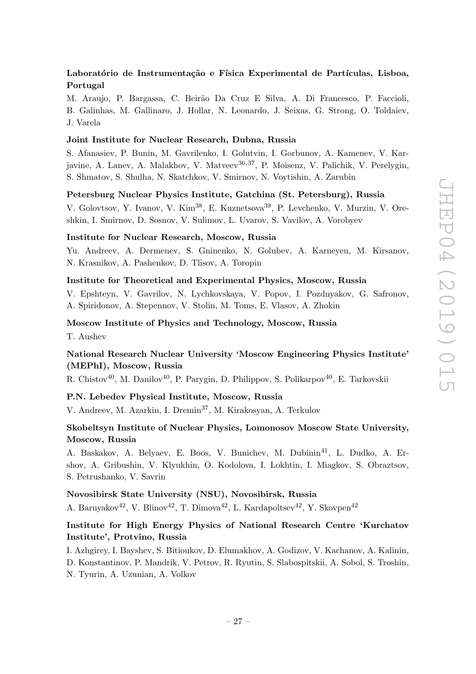# Laboratório de Instrumentação e Física Experimental de Partículas, Lisboa, Portugal

M. Araujo, P. Bargassa, C. Beirão Da Cruz E Silva, A. Di Francesco, P. Faccioli, B. Galinhas, M. Gallinaro, J. Hollar, N. Leonardo, J. Seixas, G. Strong, O. Toldaiev, J. Varela

#### Joint Institute for Nuclear Research, Dubna, Russia

S. Afanasiev, P. Bunin, M. Gavrilenko, I. Golutvin, I. Gorbunov, A. Kamenev, V. Karjavine, A. Lanev, A. Malakhov, V. Matveev<sup>36,37</sup>, P. Moisenz, V. Palichik, V. Perelygin, S. Shmatov, S. Shulha, N. Skatchkov, V. Smirnov, N. Voytishin, A. Zarubin

#### Petersburg Nuclear Physics Institute, Gatchina (St. Petersburg), Russia

V. Golovtsov, Y. Ivanov, V. Kim38, E. Kuznetsova39, P. Levchenko, V. Murzin, V. Oreshkin, I. Smirnov, D. Sosnov, V. Sulimov, L. Uvarov, S. Vavilov, A. Vorobyev

#### Institute for Nuclear Research, Moscow, Russia

Yu. Andreev, A. Dermenev, S. Gninenko, N. Golubev, A. Karneyeu, M. Kirsanov, N. Krasnikov, A. Pashenkov, D. Tlisov, A. Toropin

#### Institute for Theoretical and Experimental Physics, Moscow, Russia

V. Epshteyn, V. Gavrilov, N. Lychkovskaya, V. Popov, I. Pozdnyakov, G. Safronov, A. Spiridonov, A. Stepennov, V. Stolin, M. Toms, E. Vlasov, A. Zhokin

#### Moscow Institute of Physics and Technology, Moscow, Russia

T. Aushev

# National Research Nuclear University 'Moscow Engineering Physics Institute' (MEPhI), Moscow, Russia

R. Chistov<sup>40</sup>, M. Danilov<sup>40</sup>, P. Parygin, D. Philippov, S. Polikarpov<sup>40</sup>, E. Tarkovskii

# P.N. Lebedev Physical Institute, Moscow, Russia

V. Andreev, M. Azarkin, I. Dremin<sup>37</sup>, M. Kirakosyan, A. Terkulov

# Skobeltsyn Institute of Nuclear Physics, Lomonosov Moscow State University, Moscow, Russia

A. Baskakov, A. Belyaev, E. Boos, V. Bunichev, M. Dubinin<sup>41</sup>, L. Dudko, A. Ershov, A. Gribushin, V. Klyukhin, O. Kodolova, I. Lokhtin, I. Miagkov, S. Obraztsov, S. Petrushanko, V. Savrin

# Novosibirsk State University (NSU), Novosibirsk, Russia

A. Barnyakov<sup>42</sup>, V. Blinov<sup>42</sup>, T. Dimova<sup>42</sup>, L. Kardapoltsev<sup>42</sup>, Y. Skovpen<sup>42</sup>

# Institute for High Energy Physics of National Research Centre 'Kurchatov Institute', Protvino, Russia

I. Azhgirey, I. Bayshev, S. Bitioukov, D. Elumakhov, A. Godizov, V. Kachanov, A. Kalinin, D. Konstantinov, P. Mandrik, V. Petrov, R. Ryutin, S. Slabospitskii, A. Sobol, S. Troshin, N. Tyurin, A. Uzunian, A. Volkov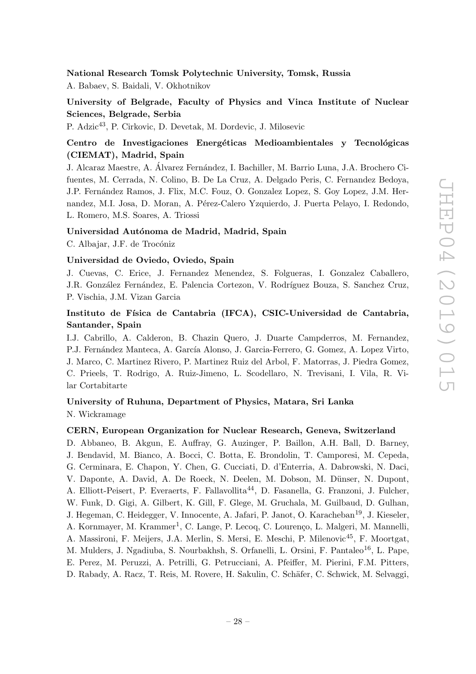#### National Research Tomsk Polytechnic University, Tomsk, Russia

A. Babaev, S. Baidali, V. Okhotnikov

# University of Belgrade, Faculty of Physics and Vinca Institute of Nuclear Sciences, Belgrade, Serbia

P. Adzic43, P. Cirkovic, D. Devetak, M. Dordevic, J. Milosevic

# Centro de Investigaciones Energéticas Medioambientales y Tecnológicas (CIEMAT), Madrid, Spain

J. Alcaraz Maestre, A. Álvarez Fernández, I. Bachiller, M. Barrio Luna, J.A. Brochero Cifuentes, M. Cerrada, N. Colino, B. De La Cruz, A. Delgado Peris, C. Fernandez Bedoya, J.P. Fern´andez Ramos, J. Flix, M.C. Fouz, O. Gonzalez Lopez, S. Goy Lopez, J.M. Hernandez, M.I. Josa, D. Moran, A. Pérez-Calero Yzquierdo, J. Puerta Pelayo, I. Redondo, L. Romero, M.S. Soares, A. Triossi

#### Universidad Autónoma de Madrid, Madrid, Spain

C. Albajar, J.F. de Trocóniz

# Universidad de Oviedo, Oviedo, Spain

J. Cuevas, C. Erice, J. Fernandez Menendez, S. Folgueras, I. Gonzalez Caballero, J.R. González Fernández, E. Palencia Cortezon, V. Rodríguez Bouza, S. Sanchez Cruz, P. Vischia, J.M. Vizan Garcia

# Instituto de Física de Cantabria (IFCA), CSIC-Universidad de Cantabria, Santander, Spain

I.J. Cabrillo, A. Calderon, B. Chazin Quero, J. Duarte Campderros, M. Fernandez, P.J. Fernández Manteca, A. García Alonso, J. Garcia-Ferrero, G. Gomez, A. Lopez Virto, J. Marco, C. Martinez Rivero, P. Martinez Ruiz del Arbol, F. Matorras, J. Piedra Gomez, C. Prieels, T. Rodrigo, A. Ruiz-Jimeno, L. Scodellaro, N. Trevisani, I. Vila, R. Vilar Cortabitarte

University of Ruhuna, Department of Physics, Matara, Sri Lanka N. Wickramage

#### CERN, European Organization for Nuclear Research, Geneva, Switzerland

D. Abbaneo, B. Akgun, E. Auffray, G. Auzinger, P. Baillon, A.H. Ball, D. Barney, J. Bendavid, M. Bianco, A. Bocci, C. Botta, E. Brondolin, T. Camporesi, M. Cepeda, G. Cerminara, E. Chapon, Y. Chen, G. Cucciati, D. d'Enterria, A. Dabrowski, N. Daci, V. Daponte, A. David, A. De Roeck, N. Deelen, M. Dobson, M. Dünser, N. Dupont, A. Elliott-Peisert, P. Everaerts, F. Fallavollita<sup>44</sup>, D. Fasanella, G. Franzoni, J. Fulcher, W. Funk, D. Gigi, A. Gilbert, K. Gill, F. Glege, M. Gruchala, M. Guilbaud, D. Gulhan, J. Hegeman, C. Heidegger, V. Innocente, A. Jafari, P. Janot, O. Karacheban<sup>19</sup>, J. Kieseler, A. Kornmayer, M. Krammer<sup>1</sup>, C. Lange, P. Lecoq, C. Lourenço, L. Malgeri, M. Mannelli, A. Massironi, F. Meijers, J.A. Merlin, S. Mersi, E. Meschi, P. Milenovic45, F. Moortgat, M. Mulders, J. Ngadiuba, S. Nourbakhsh, S. Orfanelli, L. Orsini, F. Pantaleo<sup>16</sup>, L. Pape, E. Perez, M. Peruzzi, A. Petrilli, G. Petrucciani, A. Pfeiffer, M. Pierini, F.M. Pitters, D. Rabady, A. Racz, T. Reis, M. Rovere, H. Sakulin, C. Schäfer, C. Schwick, M. Selvaggi,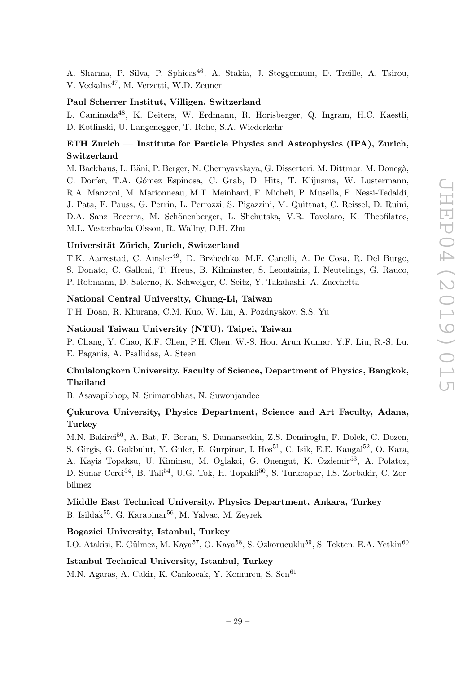A. Sharma, P. Silva, P. Sphicas<sup>46</sup>, A. Stakia, J. Steggemann, D. Treille, A. Tsirou, V. Veckalns47, M. Verzetti, W.D. Zeuner

#### Paul Scherrer Institut, Villigen, Switzerland

L. Caminada48, K. Deiters, W. Erdmann, R. Horisberger, Q. Ingram, H.C. Kaestli, D. Kotlinski, U. Langenegger, T. Rohe, S.A. Wiederkehr

# ETH Zurich — Institute for Particle Physics and Astrophysics (IPA), Zurich, Switzerland

M. Backhaus, L. Bäni, P. Berger, N. Chernyavskaya, G. Dissertori, M. Dittmar, M. Donegà, C. Dorfer, T.A. G´omez Espinosa, C. Grab, D. Hits, T. Klijnsma, W. Lustermann, R.A. Manzoni, M. Marionneau, M.T. Meinhard, F. Micheli, P. Musella, F. Nessi-Tedaldi, J. Pata, F. Pauss, G. Perrin, L. Perrozzi, S. Pigazzini, M. Quittnat, C. Reissel, D. Ruini, D.A. Sanz Becerra, M. Schönenberger, L. Shchutska, V.R. Tavolaro, K. Theofilatos, M.L. Vesterbacka Olsson, R. Wallny, D.H. Zhu

#### Universität Zürich, Zurich, Switzerland

T.K. Aarrestad, C. Amsler<sup>49</sup>, D. Brzhechko, M.F. Canelli, A. De Cosa, R. Del Burgo, S. Donato, C. Galloni, T. Hreus, B. Kilminster, S. Leontsinis, I. Neutelings, G. Rauco, P. Robmann, D. Salerno, K. Schweiger, C. Seitz, Y. Takahashi, A. Zucchetta

#### National Central University, Chung-Li, Taiwan

T.H. Doan, R. Khurana, C.M. Kuo, W. Lin, A. Pozdnyakov, S.S. Yu

#### National Taiwan University (NTU), Taipei, Taiwan

P. Chang, Y. Chao, K.F. Chen, P.H. Chen, W.-S. Hou, Arun Kumar, Y.F. Liu, R.-S. Lu, E. Paganis, A. Psallidas, A. Steen

# Chulalongkorn University, Faculty of Science, Department of Physics, Bangkok, Thailand

B. Asavapibhop, N. Srimanobhas, N. Suwonjandee

# Cukurova University, Physics Department, Science and Art Faculty, Adana, **Turkey**

M.N. Bakirci<sup>50</sup>, A. Bat, F. Boran, S. Damarseckin, Z.S. Demiroglu, F. Dolek, C. Dozen, S. Girgis, G. Gokbulut, Y. Guler, E. Gurpinar, I. Hos<sup>51</sup>, C. Isik, E.E. Kangal<sup>52</sup>, O. Kara, A. Kayis Topaksu, U. Kiminsu, M. Oglakci, G. Onengut, K. Ozdemir<sup>53</sup>, A. Polatoz, D. Sunar Cerci<sup>54</sup>, B. Tali<sup>54</sup>, U.G. Tok, H. Topakli<sup>50</sup>, S. Turkcapar, I.S. Zorbakir, C. Zorbilmez

# Middle East Technical University, Physics Department, Ankara, Turkey B. Isildak<sup>55</sup>, G. Karapinar<sup>56</sup>, M. Yalvac, M. Zeyrek

#### Bogazici University, Istanbul, Turkey

I.O. Atakisi, E. Gülmez, M. Kaya<sup>57</sup>, O. Kaya<sup>58</sup>, S. Ozkorucuklu<sup>59</sup>, S. Tekten, E.A. Yetkin<sup>60</sup>

#### Istanbul Technical University, Istanbul, Turkey

M.N. Agaras, A. Cakir, K. Cankocak, Y. Komurcu, S. Sen<sup>61</sup>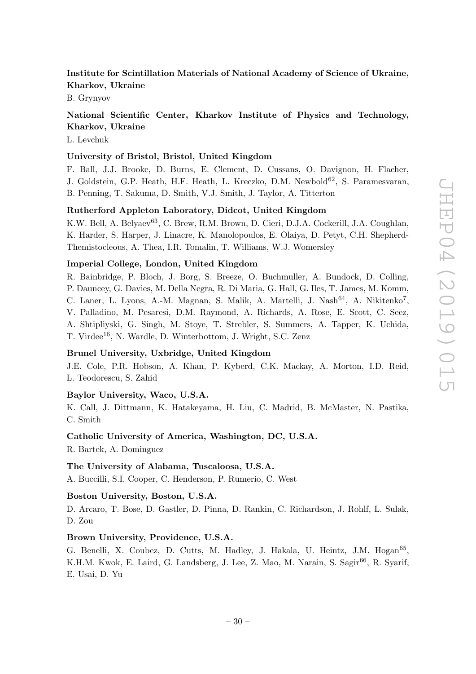# Institute for Scintillation Materials of National Academy of Science of Ukraine, Kharkov, Ukraine

B. Grynyov

# National Scientific Center, Kharkov Institute of Physics and Technology, Kharkov, Ukraine

L. Levchuk

#### University of Bristol, Bristol, United Kingdom

F. Ball, J.J. Brooke, D. Burns, E. Clement, D. Cussans, O. Davignon, H. Flacher, J. Goldstein, G.P. Heath, H.F. Heath, L. Kreczko, D.M. Newbold<sup>62</sup>, S. Paramesvaran, B. Penning, T. Sakuma, D. Smith, V.J. Smith, J. Taylor, A. Titterton

#### Rutherford Appleton Laboratory, Didcot, United Kingdom

K.W. Bell, A. Belyaev<sup>63</sup>, C. Brew, R.M. Brown, D. Cieri, D.J.A. Cockerill, J.A. Coughlan, K. Harder, S. Harper, J. Linacre, K. Manolopoulos, E. Olaiya, D. Petyt, C.H. Shepherd-Themistocleous, A. Thea, I.R. Tomalin, T. Williams, W.J. Womersley

#### Imperial College, London, United Kingdom

R. Bainbridge, P. Bloch, J. Borg, S. Breeze, O. Buchmuller, A. Bundock, D. Colling, P. Dauncey, G. Davies, M. Della Negra, R. Di Maria, G. Hall, G. Iles, T. James, M. Komm, C. Laner, L. Lyons, A.-M. Magnan, S. Malik, A. Martelli, J. Nash<sup>64</sup>, A. Nikitenko<sup>7</sup>, V. Palladino, M. Pesaresi, D.M. Raymond, A. Richards, A. Rose, E. Scott, C. Seez, A. Shtipliyski, G. Singh, M. Stoye, T. Strebler, S. Summers, A. Tapper, K. Uchida, T. Virdee<sup>16</sup>, N. Wardle, D. Winterbottom, J. Wright, S.C. Zenz

#### Brunel University, Uxbridge, United Kingdom

J.E. Cole, P.R. Hobson, A. Khan, P. Kyberd, C.K. Mackay, A. Morton, I.D. Reid, L. Teodorescu, S. Zahid

#### Baylor University, Waco, U.S.A.

K. Call, J. Dittmann, K. Hatakeyama, H. Liu, C. Madrid, B. McMaster, N. Pastika, C. Smith

#### Catholic University of America, Washington, DC, U.S.A.

R. Bartek, A. Dominguez

#### The University of Alabama, Tuscaloosa, U.S.A.

A. Buccilli, S.I. Cooper, C. Henderson, P. Rumerio, C. West

#### Boston University, Boston, U.S.A.

D. Arcaro, T. Bose, D. Gastler, D. Pinna, D. Rankin, C. Richardson, J. Rohlf, L. Sulak, D. Zou

#### Brown University, Providence, U.S.A.

G. Benelli, X. Coubez, D. Cutts, M. Hadley, J. Hakala, U. Heintz, J.M. Hogan<sup>65</sup>, K.H.M. Kwok, E. Laird, G. Landsberg, J. Lee, Z. Mao, M. Narain, S. Sagir<sup>66</sup>, R. Syarif, E. Usai, D. Yu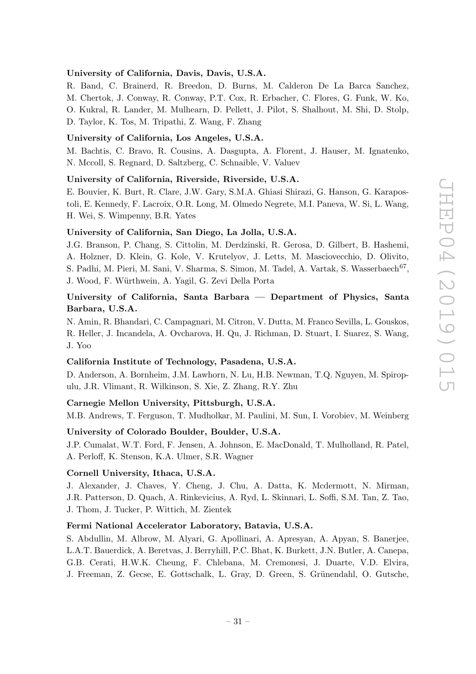#### University of California, Davis, Davis, U.S.A.

R. Band, C. Brainerd, R. Breedon, D. Burns, M. Calderon De La Barca Sanchez,

M. Chertok, J. Conway, R. Conway, P.T. Cox, R. Erbacher, C. Flores, G. Funk, W. Ko,

O. Kukral, R. Lander, M. Mulhearn, D. Pellett, J. Pilot, S. Shalhout, M. Shi, D. Stolp,

D. Taylor, K. Tos, M. Tripathi, Z. Wang, F. Zhang

#### University of California, Los Angeles, U.S.A.

M. Bachtis, C. Bravo, R. Cousins, A. Dasgupta, A. Florent, J. Hauser, M. Ignatenko, N. Mccoll, S. Regnard, D. Saltzberg, C. Schnaible, V. Valuev

#### University of California, Riverside, Riverside, U.S.A.

E. Bouvier, K. Burt, R. Clare, J.W. Gary, S.M.A. Ghiasi Shirazi, G. Hanson, G. Karapostoli, E. Kennedy, F. Lacroix, O.R. Long, M. Olmedo Negrete, M.I. Paneva, W. Si, L. Wang, H. Wei, S. Wimpenny, B.R. Yates

#### University of California, San Diego, La Jolla, U.S.A.

J.G. Branson, P. Chang, S. Cittolin, M. Derdzinski, R. Gerosa, D. Gilbert, B. Hashemi, A. Holzner, D. Klein, G. Kole, V. Krutelyov, J. Letts, M. Masciovecchio, D. Olivito, S. Padhi, M. Pieri, M. Sani, V. Sharma, S. Simon, M. Tadel, A. Vartak, S. Wasserbaech<sup>67</sup>, J. Wood, F. Würthwein, A. Yagil, G. Zevi Della Porta

# University of California, Santa Barbara — Department of Physics, Santa Barbara, U.S.A.

N. Amin, R. Bhandari, C. Campagnari, M. Citron, V. Dutta, M. Franco Sevilla, L. Gouskos, R. Heller, J. Incandela, A. Ovcharova, H. Qu, J. Richman, D. Stuart, I. Suarez, S. Wang, J. Yoo

# California Institute of Technology, Pasadena, U.S.A.

D. Anderson, A. Bornheim, J.M. Lawhorn, N. Lu, H.B. Newman, T.Q. Nguyen, M. Spiropulu, J.R. Vlimant, R. Wilkinson, S. Xie, Z. Zhang, R.Y. Zhu

# Carnegie Mellon University, Pittsburgh, U.S.A.

M.B. Andrews, T. Ferguson, T. Mudholkar, M. Paulini, M. Sun, I. Vorobiev, M. Weinberg

#### University of Colorado Boulder, Boulder, U.S.A.

J.P. Cumalat, W.T. Ford, F. Jensen, A. Johnson, E. MacDonald, T. Mulholland, R. Patel, A. Perloff, K. Stenson, K.A. Ulmer, S.R. Wagner

#### Cornell University, Ithaca, U.S.A.

J. Alexander, J. Chaves, Y. Cheng, J. Chu, A. Datta, K. Mcdermott, N. Mirman, J.R. Patterson, D. Quach, A. Rinkevicius, A. Ryd, L. Skinnari, L. Soffi, S.M. Tan, Z. Tao, J. Thom, J. Tucker, P. Wittich, M. Zientek

#### Fermi National Accelerator Laboratory, Batavia, U.S.A.

S. Abdullin, M. Albrow, M. Alyari, G. Apollinari, A. Apresyan, A. Apyan, S. Banerjee, L.A.T. Bauerdick, A. Beretvas, J. Berryhill, P.C. Bhat, K. Burkett, J.N. Butler, A. Canepa, G.B. Cerati, H.W.K. Cheung, F. Chlebana, M. Cremonesi, J. Duarte, V.D. Elvira, J. Freeman, Z. Gecse, E. Gottschalk, L. Gray, D. Green, S. Grünendahl, O. Gutsche,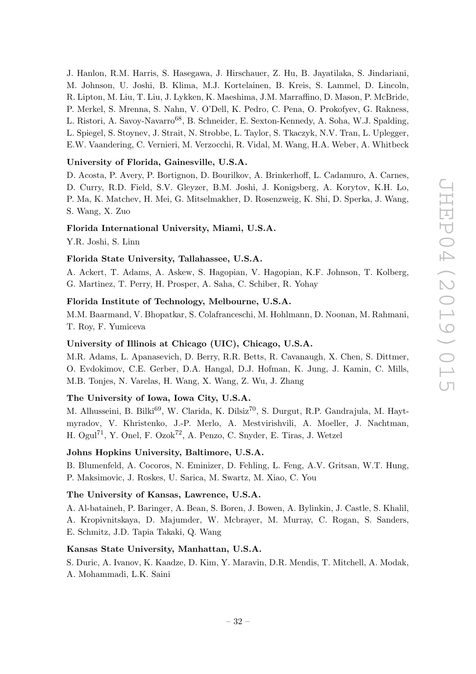J. Hanlon, R.M. Harris, S. Hasegawa, J. Hirschauer, Z. Hu, B. Jayatilaka, S. Jindariani, M. Johnson, U. Joshi, B. Klima, M.J. Kortelainen, B. Kreis, S. Lammel, D. Lincoln, R. Lipton, M. Liu, T. Liu, J. Lykken, K. Maeshima, J.M. Marraffino, D. Mason, P. McBride, P. Merkel, S. Mrenna, S. Nahn, V. O'Dell, K. Pedro, C. Pena, O. Prokofyev, G. Rakness, L. Ristori, A. Savoy-Navarro<sup>68</sup>, B. Schneider, E. Sexton-Kennedy, A. Soha, W.J. Spalding, L. Spiegel, S. Stoynev, J. Strait, N. Strobbe, L. Taylor, S. Tkaczyk, N.V. Tran, L. Uplegger, E.W. Vaandering, C. Vernieri, M. Verzocchi, R. Vidal, M. Wang, H.A. Weber, A. Whitbeck

#### University of Florida, Gainesville, U.S.A.

D. Acosta, P. Avery, P. Bortignon, D. Bourilkov, A. Brinkerhoff, L. Cadamuro, A. Carnes, D. Curry, R.D. Field, S.V. Gleyzer, B.M. Joshi, J. Konigsberg, A. Korytov, K.H. Lo, P. Ma, K. Matchev, H. Mei, G. Mitselmakher, D. Rosenzweig, K. Shi, D. Sperka, J. Wang, S. Wang, X. Zuo

#### Florida International University, Miami, U.S.A.

Y.R. Joshi, S. Linn

#### Florida State University, Tallahassee, U.S.A.

A. Ackert, T. Adams, A. Askew, S. Hagopian, V. Hagopian, K.F. Johnson, T. Kolberg, G. Martinez, T. Perry, H. Prosper, A. Saha, C. Schiber, R. Yohay

#### Florida Institute of Technology, Melbourne, U.S.A.

M.M. Baarmand, V. Bhopatkar, S. Colafranceschi, M. Hohlmann, D. Noonan, M. Rahmani, T. Roy, F. Yumiceva

#### University of Illinois at Chicago (UIC), Chicago, U.S.A.

M.R. Adams, L. Apanasevich, D. Berry, R.R. Betts, R. Cavanaugh, X. Chen, S. Dittmer, O. Evdokimov, C.E. Gerber, D.A. Hangal, D.J. Hofman, K. Jung, J. Kamin, C. Mills, M.B. Tonjes, N. Varelas, H. Wang, X. Wang, Z. Wu, J. Zhang

#### The University of Iowa, Iowa City, U.S.A.

M. Alhusseini, B. Bilki<sup>69</sup>, W. Clarida, K. Dilsiz<sup>70</sup>, S. Durgut, R.P. Gandrajula, M. Haytmyradov, V. Khristenko, J.-P. Merlo, A. Mestvirishvili, A. Moeller, J. Nachtman, H. Ogul71, Y. Onel, F. Ozok72, A. Penzo, C. Snyder, E. Tiras, J. Wetzel

#### Johns Hopkins University, Baltimore, U.S.A.

B. Blumenfeld, A. Cocoros, N. Eminizer, D. Fehling, L. Feng, A.V. Gritsan, W.T. Hung, P. Maksimovic, J. Roskes, U. Sarica, M. Swartz, M. Xiao, C. You

#### The University of Kansas, Lawrence, U.S.A.

A. Al-bataineh, P. Baringer, A. Bean, S. Boren, J. Bowen, A. Bylinkin, J. Castle, S. Khalil, A. Kropivnitskaya, D. Majumder, W. Mcbrayer, M. Murray, C. Rogan, S. Sanders, E. Schmitz, J.D. Tapia Takaki, Q. Wang

#### Kansas State University, Manhattan, U.S.A.

S. Duric, A. Ivanov, K. Kaadze, D. Kim, Y. Maravin, D.R. Mendis, T. Mitchell, A. Modak, A. Mohammadi, L.K. Saini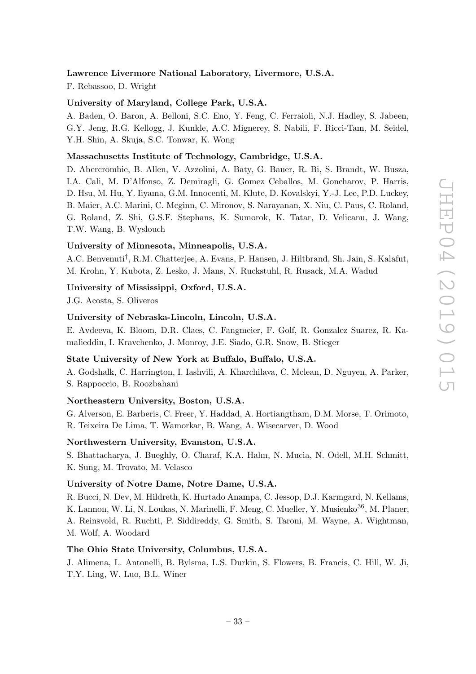#### Lawrence Livermore National Laboratory, Livermore, U.S.A.

F. Rebassoo, D. Wright

#### University of Maryland, College Park, U.S.A.

A. Baden, O. Baron, A. Belloni, S.C. Eno, Y. Feng, C. Ferraioli, N.J. Hadley, S. Jabeen, G.Y. Jeng, R.G. Kellogg, J. Kunkle, A.C. Mignerey, S. Nabili, F. Ricci-Tam, M. Seidel, Y.H. Shin, A. Skuja, S.C. Tonwar, K. Wong

#### Massachusetts Institute of Technology, Cambridge, U.S.A.

D. Abercrombie, B. Allen, V. Azzolini, A. Baty, G. Bauer, R. Bi, S. Brandt, W. Busza, I.A. Cali, M. D'Alfonso, Z. Demiragli, G. Gomez Ceballos, M. Goncharov, P. Harris, D. Hsu, M. Hu, Y. Iiyama, G.M. Innocenti, M. Klute, D. Kovalskyi, Y.-J. Lee, P.D. Luckey, B. Maier, A.C. Marini, C. Mcginn, C. Mironov, S. Narayanan, X. Niu, C. Paus, C. Roland, G. Roland, Z. Shi, G.S.F. Stephans, K. Sumorok, K. Tatar, D. Velicanu, J. Wang, T.W. Wang, B. Wyslouch

#### University of Minnesota, Minneapolis, U.S.A.

A.C. Benvenuti† , R.M. Chatterjee, A. Evans, P. Hansen, J. Hiltbrand, Sh. Jain, S. Kalafut, M. Krohn, Y. Kubota, Z. Lesko, J. Mans, N. Ruckstuhl, R. Rusack, M.A. Wadud

#### University of Mississippi, Oxford, U.S.A.

J.G. Acosta, S. Oliveros

#### University of Nebraska-Lincoln, Lincoln, U.S.A.

E. Avdeeva, K. Bloom, D.R. Claes, C. Fangmeier, F. Golf, R. Gonzalez Suarez, R. Kamalieddin, I. Kravchenko, J. Monroy, J.E. Siado, G.R. Snow, B. Stieger

#### State University of New York at Buffalo, Buffalo, U.S.A.

A. Godshalk, C. Harrington, I. Iashvili, A. Kharchilava, C. Mclean, D. Nguyen, A. Parker, S. Rappoccio, B. Roozbahani

#### Northeastern University, Boston, U.S.A.

G. Alverson, E. Barberis, C. Freer, Y. Haddad, A. Hortiangtham, D.M. Morse, T. Orimoto, R. Teixeira De Lima, T. Wamorkar, B. Wang, A. Wisecarver, D. Wood

#### Northwestern University, Evanston, U.S.A.

S. Bhattacharya, J. Bueghly, O. Charaf, K.A. Hahn, N. Mucia, N. Odell, M.H. Schmitt, K. Sung, M. Trovato, M. Velasco

#### University of Notre Dame, Notre Dame, U.S.A.

R. Bucci, N. Dev, M. Hildreth, K. Hurtado Anampa, C. Jessop, D.J. Karmgard, N. Kellams, K. Lannon, W. Li, N. Loukas, N. Marinelli, F. Meng, C. Mueller, Y. Musienko<sup>36</sup>, M. Planer, A. Reinsvold, R. Ruchti, P. Siddireddy, G. Smith, S. Taroni, M. Wayne, A. Wightman, M. Wolf, A. Woodard

#### The Ohio State University, Columbus, U.S.A.

J. Alimena, L. Antonelli, B. Bylsma, L.S. Durkin, S. Flowers, B. Francis, C. Hill, W. Ji, T.Y. Ling, W. Luo, B.L. Winer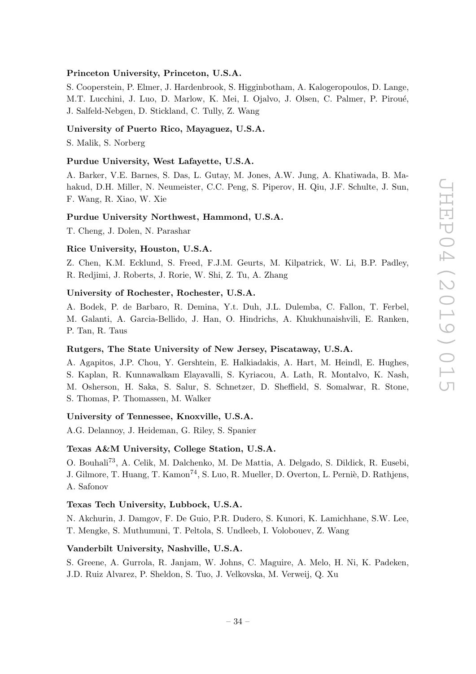#### Princeton University, Princeton, U.S.A.

S. Cooperstein, P. Elmer, J. Hardenbrook, S. Higginbotham, A. Kalogeropoulos, D. Lange, M.T. Lucchini, J. Luo, D. Marlow, K. Mei, I. Ojalvo, J. Olsen, C. Palmer, P. Piroué, J. Salfeld-Nebgen, D. Stickland, C. Tully, Z. Wang

#### University of Puerto Rico, Mayaguez, U.S.A.

S. Malik, S. Norberg

#### Purdue University, West Lafayette, U.S.A.

A. Barker, V.E. Barnes, S. Das, L. Gutay, M. Jones, A.W. Jung, A. Khatiwada, B. Mahakud, D.H. Miller, N. Neumeister, C.C. Peng, S. Piperov, H. Qiu, J.F. Schulte, J. Sun, F. Wang, R. Xiao, W. Xie

#### Purdue University Northwest, Hammond, U.S.A.

T. Cheng, J. Dolen, N. Parashar

#### Rice University, Houston, U.S.A.

Z. Chen, K.M. Ecklund, S. Freed, F.J.M. Geurts, M. Kilpatrick, W. Li, B.P. Padley, R. Redjimi, J. Roberts, J. Rorie, W. Shi, Z. Tu, A. Zhang

#### University of Rochester, Rochester, U.S.A.

A. Bodek, P. de Barbaro, R. Demina, Y.t. Duh, J.L. Dulemba, C. Fallon, T. Ferbel, M. Galanti, A. Garcia-Bellido, J. Han, O. Hindrichs, A. Khukhunaishvili, E. Ranken, P. Tan, R. Taus

#### Rutgers, The State University of New Jersey, Piscataway, U.S.A.

A. Agapitos, J.P. Chou, Y. Gershtein, E. Halkiadakis, A. Hart, M. Heindl, E. Hughes, S. Kaplan, R. Kunnawalkam Elayavalli, S. Kyriacou, A. Lath, R. Montalvo, K. Nash, M. Osherson, H. Saka, S. Salur, S. Schnetzer, D. Sheffield, S. Somalwar, R. Stone, S. Thomas, P. Thomassen, M. Walker

#### University of Tennessee, Knoxville, U.S.A.

A.G. Delannoy, J. Heideman, G. Riley, S. Spanier

#### Texas A&M University, College Station, U.S.A.

O. Bouhali73, A. Celik, M. Dalchenko, M. De Mattia, A. Delgado, S. Dildick, R. Eusebi, J. Gilmore, T. Huang, T. Kamon<sup>74</sup>, S. Luo, R. Mueller, D. Overton, L. Perniè, D. Rathjens, A. Safonov

#### Texas Tech University, Lubbock, U.S.A.

N. Akchurin, J. Damgov, F. De Guio, P.R. Dudero, S. Kunori, K. Lamichhane, S.W. Lee, T. Mengke, S. Muthumuni, T. Peltola, S. Undleeb, I. Volobouev, Z. Wang

#### Vanderbilt University, Nashville, U.S.A.

S. Greene, A. Gurrola, R. Janjam, W. Johns, C. Maguire, A. Melo, H. Ni, K. Padeken, J.D. Ruiz Alvarez, P. Sheldon, S. Tuo, J. Velkovska, M. Verweij, Q. Xu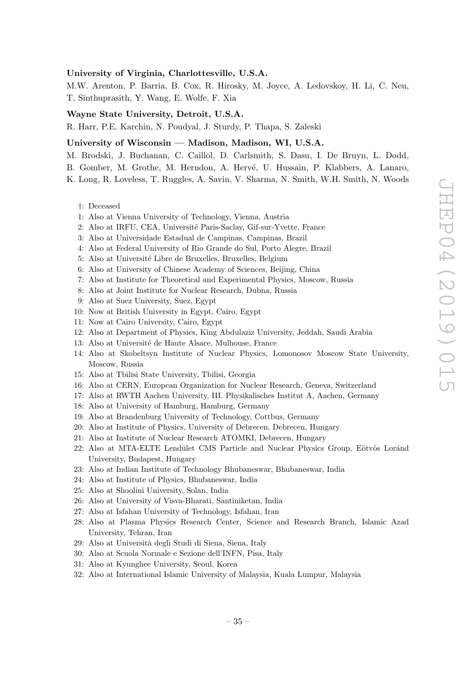#### University of Virginia, Charlottesville, U.S.A.

M.W. Arenton, P. Barria, B. Cox, R. Hirosky, M. Joyce, A. Ledovskoy, H. Li, C. Neu, T. Sinthuprasith, Y. Wang, E. Wolfe, F. Xia

#### Wayne State University, Detroit, U.S.A.

R. Harr, P.E. Karchin, N. Poudyal, J. Sturdy, P. Thapa, S. Zaleski

#### University of Wisconsin — Madison, Madison, WI, U.S.A.

- M. Brodski, J. Buchanan, C. Caillol, D. Carlsmith, S. Dasu, I. De Bruyn, L. Dodd,
- B. Gomber, M. Grothe, M. Herndon, A. Hervé, U. Hussain, P. Klabbers, A. Lanaro,
- K. Long, R. Loveless, T. Ruggles, A. Savin, V. Sharma, N. Smith, W.H. Smith, N. Woods
	- †: Deceased
	- 1: Also at Vienna University of Technology, Vienna, Austria
	- 2: Also at IRFU, CEA, Université Paris-Saclay, Gif-sur-Yvette, France
	- 3: Also at Universidade Estadual de Campinas, Campinas, Brazil
	- 4: Also at Federal University of Rio Grande do Sul, Porto Alegre, Brazil
	- 5: Also at Université Libre de Bruxelles, Bruxelles, Belgium
	- 6: Also at University of Chinese Academy of Sciences, Beijing, China
	- 7: Also at Institute for Theoretical and Experimental Physics, Moscow, Russia
	- 8: Also at Joint Institute for Nuclear Research, Dubna, Russia
	- 9: Also at Suez University, Suez, Egypt
	- 10: Now at British University in Egypt, Cairo, Egypt
	- 11: Now at Cairo University, Cairo, Egypt
	- 12: Also at Department of Physics, King Abdulaziz University, Jeddah, Saudi Arabia
	- 13: Also at Université de Haute Alsace, Mulhouse, France
	- 14: Also at Skobeltsyn Institute of Nuclear Physics, Lomonosov Moscow State University, Moscow, Russia
	- 15: Also at Tbilisi State University, Tbilisi, Georgia
	- 16: Also at CERN, European Organization for Nuclear Research, Geneva, Switzerland
	- 17: Also at RWTH Aachen University, III. Physikalisches Institut A, Aachen, Germany
	- 18: Also at University of Hamburg, Hamburg, Germany
	- 19: Also at Brandenburg University of Technology, Cottbus, Germany
	- 20: Also at Institute of Physics, University of Debrecen, Debrecen, Hungary
	- 21: Also at Institute of Nuclear Research ATOMKI, Debrecen, Hungary
	- 22: Also at MTA-ELTE Lendület CMS Particle and Nuclear Physics Group, Eötvös Loránd University, Budapest, Hungary
	- 23: Also at Indian Institute of Technology Bhubaneswar, Bhubaneswar, India
	- 24: Also at Institute of Physics, Bhubaneswar, India
	- 25: Also at Shoolini University, Solan, India
	- 26: Also at University of Visva-Bharati, Santiniketan, India
	- 27: Also at Isfahan University of Technology, Isfahan, Iran
	- 28: Also at Plasma Physics Research Center, Science and Research Branch, Islamic Azad University, Tehran, Iran
	- 29: Also at Universit`a degli Studi di Siena, Siena, Italy
	- 30: Also at Scuola Normale e Sezione dell'INFN, Pisa, Italy
	- 31: Also at Kyunghee University, Seoul, Korea
	- 32: Also at International Islamic University of Malaysia, Kuala Lumpur, Malaysia